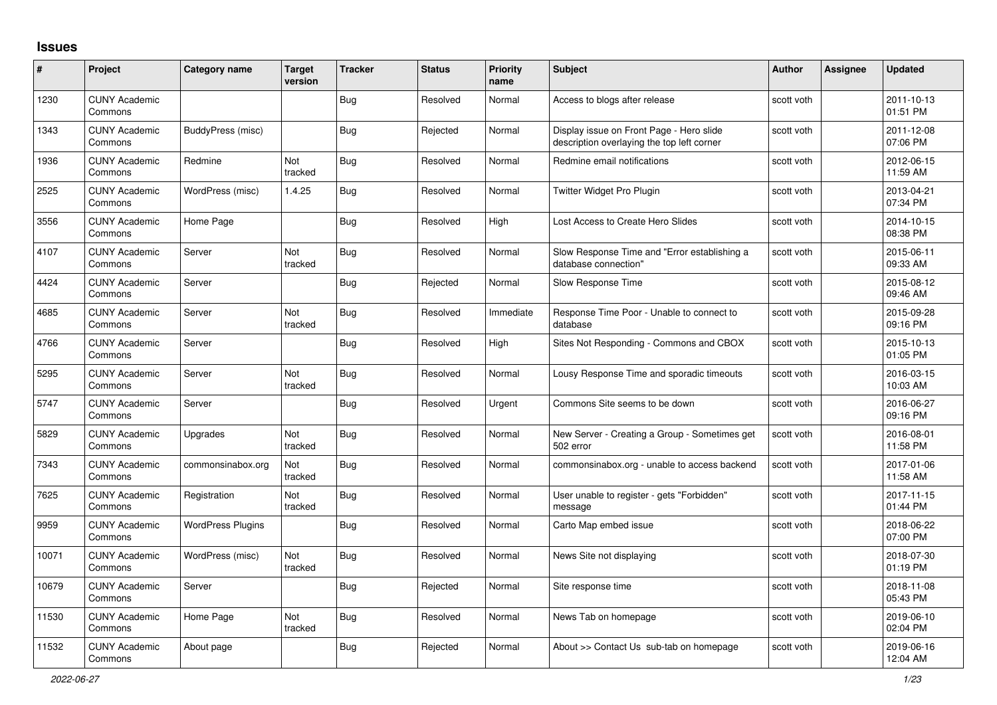## **Issues**

| #     | Project                         | Category name            | <b>Target</b><br>version | <b>Tracker</b> | <b>Status</b> | <b>Priority</b><br>name | <b>Subject</b>                                                                         | <b>Author</b> | <b>Assignee</b> | <b>Updated</b>         |
|-------|---------------------------------|--------------------------|--------------------------|----------------|---------------|-------------------------|----------------------------------------------------------------------------------------|---------------|-----------------|------------------------|
| 1230  | <b>CUNY Academic</b><br>Commons |                          |                          | <b>Bug</b>     | Resolved      | Normal                  | Access to blogs after release                                                          | scott voth    |                 | 2011-10-13<br>01:51 PM |
| 1343  | <b>CUNY Academic</b><br>Commons | BuddyPress (misc)        |                          | Bug            | Rejected      | Normal                  | Display issue on Front Page - Hero slide<br>description overlaying the top left corner | scott voth    |                 | 2011-12-08<br>07:06 PM |
| 1936  | <b>CUNY Academic</b><br>Commons | Redmine                  | Not<br>tracked           | <b>Bug</b>     | Resolved      | Normal                  | Redmine email notifications                                                            | scott voth    |                 | 2012-06-15<br>11:59 AM |
| 2525  | <b>CUNY Academic</b><br>Commons | WordPress (misc)         | 1.4.25                   | <b>Bug</b>     | Resolved      | Normal                  | Twitter Widget Pro Plugin                                                              | scott voth    |                 | 2013-04-21<br>07:34 PM |
| 3556  | <b>CUNY Academic</b><br>Commons | Home Page                |                          | <b>Bug</b>     | Resolved      | High                    | Lost Access to Create Hero Slides                                                      | scott voth    |                 | 2014-10-15<br>08:38 PM |
| 4107  | <b>CUNY Academic</b><br>Commons | Server                   | <b>Not</b><br>tracked    | <b>Bug</b>     | Resolved      | Normal                  | Slow Response Time and "Error establishing a<br>database connection"                   | scott voth    |                 | 2015-06-11<br>09:33 AM |
| 4424  | <b>CUNY Academic</b><br>Commons | Server                   |                          | Bug            | Rejected      | Normal                  | Slow Response Time                                                                     | scott voth    |                 | 2015-08-12<br>09:46 AM |
| 4685  | <b>CUNY Academic</b><br>Commons | Server                   | Not<br>tracked           | <b>Bug</b>     | Resolved      | Immediate               | Response Time Poor - Unable to connect to<br>database                                  | scott voth    |                 | 2015-09-28<br>09:16 PM |
| 4766  | <b>CUNY Academic</b><br>Commons | Server                   |                          | Bug            | Resolved      | High                    | Sites Not Responding - Commons and CBOX                                                | scott voth    |                 | 2015-10-13<br>01:05 PM |
| 5295  | <b>CUNY Academic</b><br>Commons | Server                   | Not<br>tracked           | <b>Bug</b>     | Resolved      | Normal                  | Lousy Response Time and sporadic timeouts                                              | scott voth    |                 | 2016-03-15<br>10:03 AM |
| 5747  | <b>CUNY Academic</b><br>Commons | Server                   |                          | Bug            | Resolved      | Urgent                  | Commons Site seems to be down                                                          | scott voth    |                 | 2016-06-27<br>09:16 PM |
| 5829  | <b>CUNY Academic</b><br>Commons | Upgrades                 | <b>Not</b><br>tracked    | <b>Bug</b>     | Resolved      | Normal                  | New Server - Creating a Group - Sometimes get<br>502 error                             | scott voth    |                 | 2016-08-01<br>11:58 PM |
| 7343  | <b>CUNY Academic</b><br>Commons | commonsinabox.org        | Not<br>tracked           | <b>Bug</b>     | Resolved      | Normal                  | commonsinabox.org - unable to access backend                                           | scott voth    |                 | 2017-01-06<br>11:58 AM |
| 7625  | <b>CUNY Academic</b><br>Commons | Registration             | <b>Not</b><br>tracked    | <b>Bug</b>     | Resolved      | Normal                  | User unable to register - gets "Forbidden"<br>message                                  | scott voth    |                 | 2017-11-15<br>01:44 PM |
| 9959  | <b>CUNY Academic</b><br>Commons | <b>WordPress Plugins</b> |                          | <b>Bug</b>     | Resolved      | Normal                  | Carto Map embed issue                                                                  | scott voth    |                 | 2018-06-22<br>07:00 PM |
| 10071 | <b>CUNY Academic</b><br>Commons | WordPress (misc)         | Not<br>tracked           | Bug            | Resolved      | Normal                  | News Site not displaying                                                               | scott voth    |                 | 2018-07-30<br>01:19 PM |
| 10679 | <b>CUNY Academic</b><br>Commons | Server                   |                          | <b>Bug</b>     | Rejected      | Normal                  | Site response time                                                                     | scott voth    |                 | 2018-11-08<br>05:43 PM |
| 11530 | <b>CUNY Academic</b><br>Commons | Home Page                | Not<br>tracked           | Bug            | Resolved      | Normal                  | News Tab on homepage                                                                   | scott voth    |                 | 2019-06-10<br>02:04 PM |
| 11532 | <b>CUNY Academic</b><br>Commons | About page               |                          | <b>Bug</b>     | Rejected      | Normal                  | About >> Contact Us sub-tab on homepage                                                | scott voth    |                 | 2019-06-16<br>12:04 AM |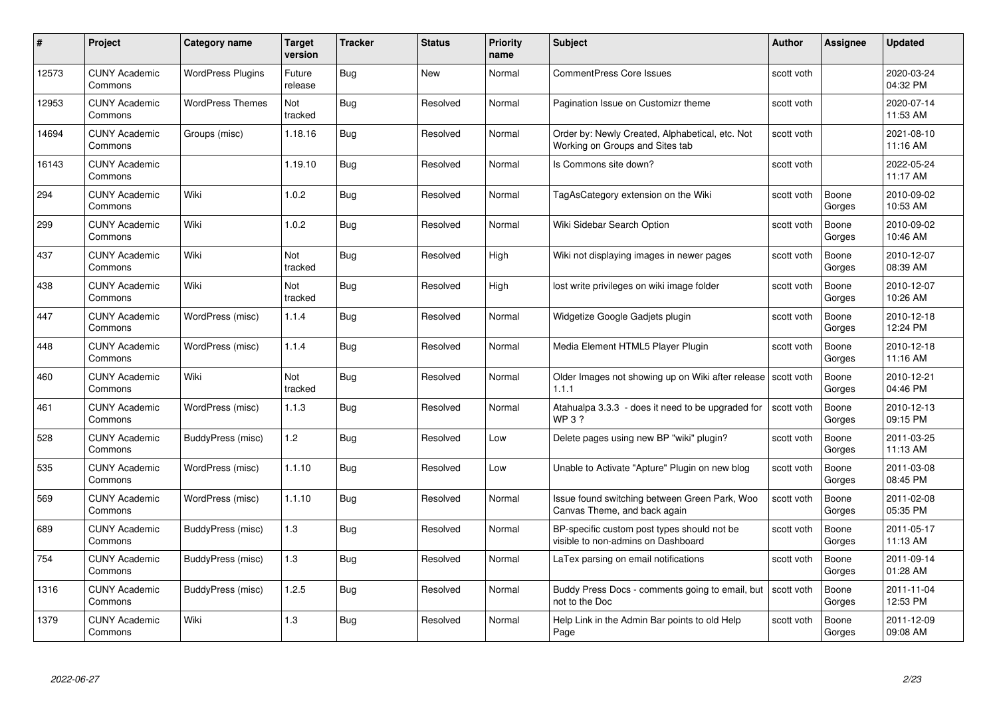|       | Project                         | <b>Category name</b>     | Target<br>version | <b>Tracker</b> | <b>Status</b> | <b>Priority</b><br>name | <b>Subject</b>                                                                     | <b>Author</b> | <b>Assignee</b> | <b>Updated</b>         |
|-------|---------------------------------|--------------------------|-------------------|----------------|---------------|-------------------------|------------------------------------------------------------------------------------|---------------|-----------------|------------------------|
| 12573 | <b>CUNY Academic</b><br>Commons | <b>WordPress Plugins</b> | Future<br>release | Bug            | New           | Normal                  | <b>CommentPress Core Issues</b>                                                    | scott voth    |                 | 2020-03-24<br>04:32 PM |
| 12953 | <b>CUNY Academic</b><br>Commons | <b>WordPress Themes</b>  | Not<br>tracked    | Bug            | Resolved      | Normal                  | Pagination Issue on Customizr theme                                                | scott voth    |                 | 2020-07-14<br>11:53 AM |
| 14694 | <b>CUNY Academic</b><br>Commons | Groups (misc)            | 1.18.16           | Bug            | Resolved      | Normal                  | Order by: Newly Created, Alphabetical, etc. Not<br>Working on Groups and Sites tab | scott voth    |                 | 2021-08-10<br>11:16 AM |
| 16143 | <b>CUNY Academic</b><br>Commons |                          | 1.19.10           | Bug            | Resolved      | Normal                  | Is Commons site down?                                                              | scott voth    |                 | 2022-05-24<br>11:17 AM |
| 294   | <b>CUNY Academic</b><br>Commons | Wiki                     | 1.0.2             | <b>Bug</b>     | Resolved      | Normal                  | TagAsCategory extension on the Wiki                                                | scott voth    | Boone<br>Gorges | 2010-09-02<br>10:53 AM |
| 299   | <b>CUNY Academic</b><br>Commons | Wiki                     | 1.0.2             | <b>Bug</b>     | Resolved      | Normal                  | Wiki Sidebar Search Option                                                         | scott voth    | Boone<br>Gorges | 2010-09-02<br>10:46 AM |
| 437   | <b>CUNY Academic</b><br>Commons | Wiki                     | Not<br>tracked    | Bug            | Resolved      | High                    | Wiki not displaying images in newer pages                                          | scott voth    | Boone<br>Gorges | 2010-12-07<br>08:39 AM |
| 438   | <b>CUNY Academic</b><br>Commons | Wiki                     | Not<br>tracked    | <b>Bug</b>     | Resolved      | High                    | lost write privileges on wiki image folder                                         | scott voth    | Boone<br>Gorges | 2010-12-07<br>10:26 AM |
| 447   | <b>CUNY Academic</b><br>Commons | WordPress (misc)         | 1.1.4             | Bug            | Resolved      | Normal                  | Widgetize Google Gadjets plugin                                                    | scott voth    | Boone<br>Gorges | 2010-12-18<br>12:24 PM |
| 448   | <b>CUNY Academic</b><br>Commons | WordPress (misc)         | 1.1.4             | <b>Bug</b>     | Resolved      | Normal                  | Media Element HTML5 Player Plugin                                                  | scott voth    | Boone<br>Gorges | 2010-12-18<br>11:16 AM |
| 460   | <b>CUNY Academic</b><br>Commons | Wiki                     | Not<br>tracked    | Bug            | Resolved      | Normal                  | Older Images not showing up on Wiki after release Scott voth<br>1.1.1              |               | Boone<br>Gorges | 2010-12-21<br>04:46 PM |
| 461   | <b>CUNY Academic</b><br>Commons | WordPress (misc)         | 1.1.3             | <b>Bug</b>     | Resolved      | Normal                  | Atahualpa 3.3.3 - does it need to be upgraded for<br>WP 3 ?                        | scott voth    | Boone<br>Gorges | 2010-12-13<br>09:15 PM |
| 528   | <b>CUNY Academic</b><br>Commons | BuddyPress (misc)        | 1.2               | Bug            | Resolved      | Low                     | Delete pages using new BP "wiki" plugin?                                           | scott voth    | Boone<br>Gorges | 2011-03-25<br>11:13 AM |
| 535   | <b>CUNY Academic</b><br>Commons | WordPress (misc)         | 1.1.10            | <b>Bug</b>     | Resolved      | Low                     | Unable to Activate "Apture" Plugin on new blog                                     | scott voth    | Boone<br>Gorges | 2011-03-08<br>08:45 PM |
| 569   | CUNY Academic<br>Commons        | WordPress (misc)         | 1.1.10            | Bug            | Resolved      | Normal                  | Issue found switching between Green Park, Woo<br>Canvas Theme, and back again      | scott voth    | Boone<br>Gorges | 2011-02-08<br>05:35 PM |
| 689   | <b>CUNY Academic</b><br>Commons | BuddyPress (misc)        | 1.3               | <b>Bug</b>     | Resolved      | Normal                  | BP-specific custom post types should not be<br>visible to non-admins on Dashboard  | scott voth    | Boone<br>Gorges | 2011-05-17<br>11:13 AM |
| 754   | <b>CUNY Academic</b><br>Commons | BuddyPress (misc)        | 1.3               | Bug            | Resolved      | Normal                  | LaTex parsing on email notifications                                               | scott voth    | Boone<br>Gorges | 2011-09-14<br>01:28 AM |
| 1316  | <b>CUNY Academic</b><br>Commons | BuddyPress (misc)        | 1.2.5             | <b>Bug</b>     | Resolved      | Normal                  | Buddy Press Docs - comments going to email, but<br>not to the Doc                  | scott voth    | Boone<br>Gorges | 2011-11-04<br>12:53 PM |
| 1379  | <b>CUNY Academic</b><br>Commons | Wiki                     | 1.3               | Bug            | Resolved      | Normal                  | Help Link in the Admin Bar points to old Help<br>Page                              | scott voth    | Boone<br>Gorges | 2011-12-09<br>09:08 AM |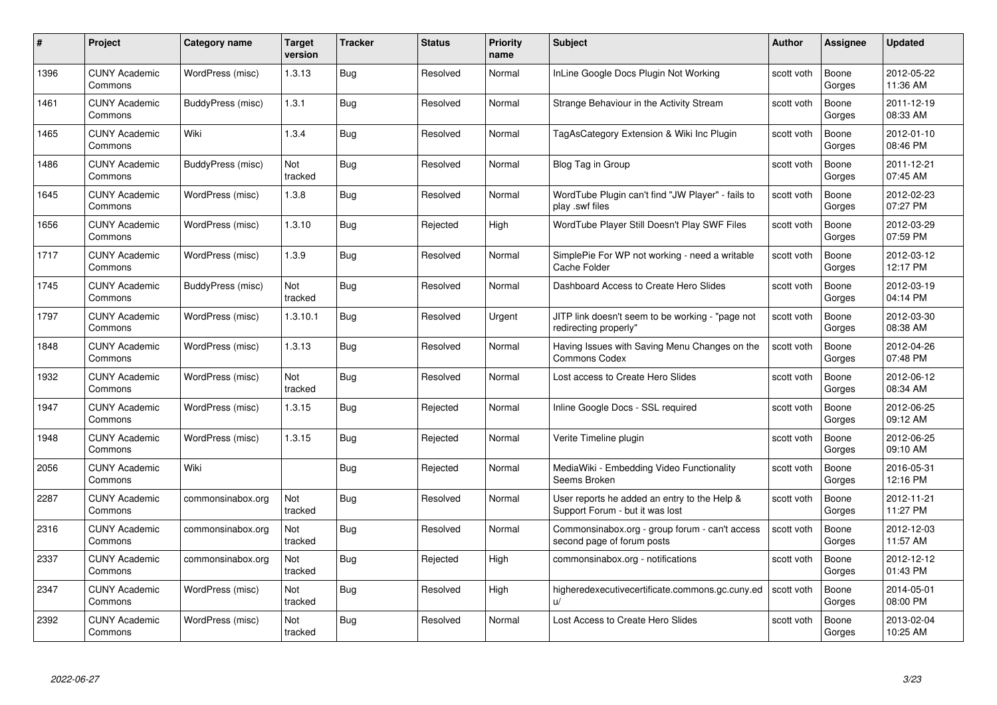| #    | Project                         | <b>Category name</b> | Target<br>version | <b>Tracker</b> | <b>Status</b> | <b>Priority</b><br>name | <b>Subject</b>                                                                  | <b>Author</b> | <b>Assignee</b> | <b>Updated</b>         |
|------|---------------------------------|----------------------|-------------------|----------------|---------------|-------------------------|---------------------------------------------------------------------------------|---------------|-----------------|------------------------|
| 1396 | <b>CUNY Academic</b><br>Commons | WordPress (misc)     | 1.3.13            | <b>Bug</b>     | Resolved      | Normal                  | InLine Google Docs Plugin Not Working                                           | scott voth    | Boone<br>Gorges | 2012-05-22<br>11:36 AM |
| 1461 | <b>CUNY Academic</b><br>Commons | BuddyPress (misc)    | 1.3.1             | Bug            | Resolved      | Normal                  | Strange Behaviour in the Activity Stream                                        | scott voth    | Boone<br>Gorges | 2011-12-19<br>08:33 AM |
| 1465 | <b>CUNY Academic</b><br>Commons | Wiki                 | 1.3.4             | Bug            | Resolved      | Normal                  | TagAsCategory Extension & Wiki Inc Plugin                                       | scott voth    | Boone<br>Gorges | 2012-01-10<br>08:46 PM |
| 1486 | <b>CUNY Academic</b><br>Commons | BuddyPress (misc)    | Not<br>tracked    | Bug            | Resolved      | Normal                  | Blog Tag in Group                                                               | scott voth    | Boone<br>Gorges | 2011-12-21<br>07:45 AM |
| 1645 | <b>CUNY Academic</b><br>Commons | WordPress (misc)     | 1.3.8             | <b>Bug</b>     | Resolved      | Normal                  | WordTube Plugin can't find "JW Player" - fails to<br>play .swf files            | scott voth    | Boone<br>Gorges | 2012-02-23<br>07:27 PM |
| 1656 | <b>CUNY Academic</b><br>Commons | WordPress (misc)     | 1.3.10            | Bug            | Rejected      | High                    | WordTube Player Still Doesn't Play SWF Files                                    | scott voth    | Boone<br>Gorges | 2012-03-29<br>07:59 PM |
| 1717 | <b>CUNY Academic</b><br>Commons | WordPress (misc)     | 1.3.9             | Bug            | Resolved      | Normal                  | SimplePie For WP not working - need a writable<br>Cache Folder                  | scott voth    | Boone<br>Gorges | 2012-03-12<br>12:17 PM |
| 1745 | <b>CUNY Academic</b><br>Commons | BuddyPress (misc)    | Not<br>tracked    | <b>Bug</b>     | Resolved      | Normal                  | Dashboard Access to Create Hero Slides                                          | scott voth    | Boone<br>Gorges | 2012-03-19<br>04:14 PM |
| 1797 | <b>CUNY Academic</b><br>Commons | WordPress (misc)     | 1.3.10.1          | Bug            | Resolved      | Urgent                  | JITP link doesn't seem to be working - "page not<br>redirecting properly"       | scott voth    | Boone<br>Gorges | 2012-03-30<br>08:38 AM |
| 1848 | <b>CUNY Academic</b><br>Commons | WordPress (misc)     | 1.3.13            | Bug            | Resolved      | Normal                  | Having Issues with Saving Menu Changes on the<br><b>Commons Codex</b>           | scott voth    | Boone<br>Gorges | 2012-04-26<br>07:48 PM |
| 1932 | <b>CUNY Academic</b><br>Commons | WordPress (misc)     | Not<br>tracked    | Bug            | Resolved      | Normal                  | Lost access to Create Hero Slides                                               | scott voth    | Boone<br>Gorges | 2012-06-12<br>08:34 AM |
| 1947 | <b>CUNY Academic</b><br>Commons | WordPress (misc)     | 1.3.15            | Bug            | Rejected      | Normal                  | Inline Google Docs - SSL required                                               | scott voth    | Boone<br>Gorges | 2012-06-25<br>09:12 AM |
| 1948 | <b>CUNY Academic</b><br>Commons | WordPress (misc)     | 1.3.15            | Bug            | Rejected      | Normal                  | Verite Timeline plugin                                                          | scott voth    | Boone<br>Gorges | 2012-06-25<br>09:10 AM |
| 2056 | <b>CUNY Academic</b><br>Commons | Wiki                 |                   | Bug            | Rejected      | Normal                  | MediaWiki - Embedding Video Functionality<br>Seems Broken                       | scott voth    | Boone<br>Gorges | 2016-05-31<br>12:16 PM |
| 2287 | <b>CUNY Academic</b><br>Commons | commonsinabox.org    | Not<br>tracked    | Bug            | Resolved      | Normal                  | User reports he added an entry to the Help &<br>Support Forum - but it was lost | scott voth    | Boone<br>Gorges | 2012-11-21<br>11:27 PM |
| 2316 | <b>CUNY Academic</b><br>Commons | commonsinabox.org    | Not<br>tracked    | Bug            | Resolved      | Normal                  | Commonsinabox.org - group forum - can't access<br>second page of forum posts    | scott voth    | Boone<br>Gorges | 2012-12-03<br>11:57 AM |
| 2337 | <b>CUNY Academic</b><br>Commons | commonsinabox.org    | Not<br>tracked    | Bug            | Rejected      | High                    | commonsinabox.org - notifications                                               | scott voth    | Boone<br>Gorges | 2012-12-12<br>01:43 PM |
| 2347 | <b>CUNY Academic</b><br>Commons | WordPress (misc)     | Not<br>tracked    | Bug            | Resolved      | High                    | higheredexecutivecertificate.commons.gc.cuny.ed<br>$\mathsf{u}/$                | scott voth    | Boone<br>Gorges | 2014-05-01<br>08:00 PM |
| 2392 | CUNY Academic<br>Commons        | WordPress (misc)     | Not<br>tracked    | <b>Bug</b>     | Resolved      | Normal                  | Lost Access to Create Hero Slides                                               | scott voth    | Boone<br>Gorges | 2013-02-04<br>10:25 AM |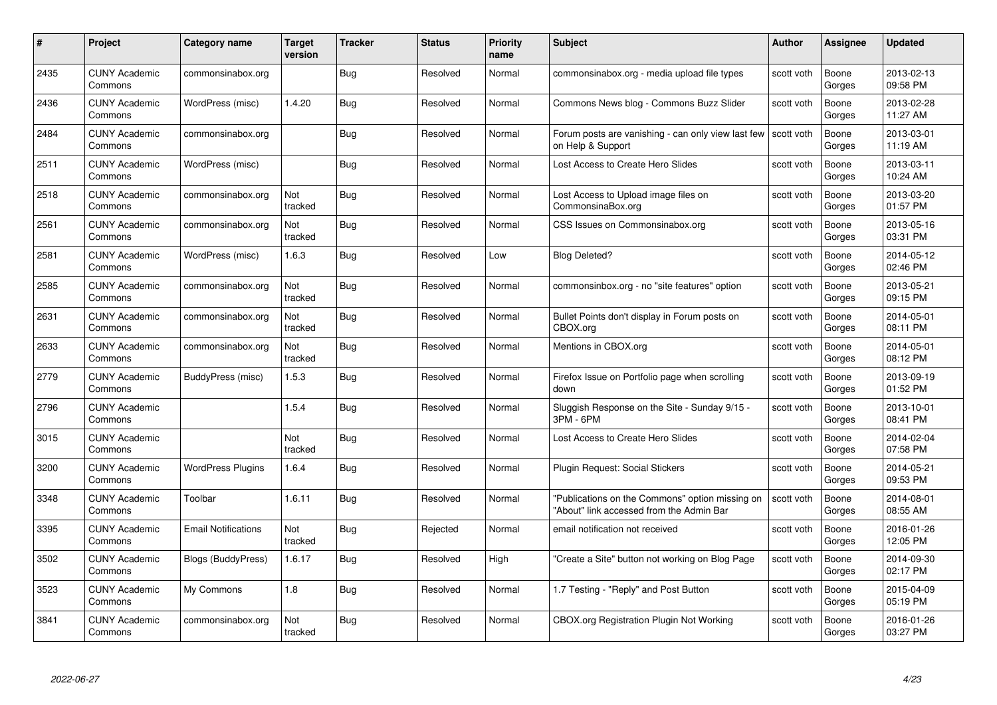| #    | Project                         | <b>Category name</b>       | Target<br>version | <b>Tracker</b> | <b>Status</b> | <b>Priority</b><br>name | <b>Subject</b>                                                                              | <b>Author</b> | <b>Assignee</b> | <b>Updated</b>         |
|------|---------------------------------|----------------------------|-------------------|----------------|---------------|-------------------------|---------------------------------------------------------------------------------------------|---------------|-----------------|------------------------|
| 2435 | <b>CUNY Academic</b><br>Commons | commonsinabox.org          |                   | Bug            | Resolved      | Normal                  | commonsinabox.org - media upload file types                                                 | scott voth    | Boone<br>Gorges | 2013-02-13<br>09:58 PM |
| 2436 | <b>CUNY Academic</b><br>Commons | WordPress (misc)           | 1.4.20            | Bug            | Resolved      | Normal                  | Commons News blog - Commons Buzz Slider                                                     | scott voth    | Boone<br>Gorges | 2013-02-28<br>11:27 AM |
| 2484 | <b>CUNY Academic</b><br>Commons | commonsinabox.org          |                   | Bug            | Resolved      | Normal                  | Forum posts are vanishing - can only view last few<br>on Help & Support                     | scott voth    | Boone<br>Gorges | 2013-03-01<br>11:19 AM |
| 2511 | <b>CUNY Academic</b><br>Commons | WordPress (misc)           |                   | Bug            | Resolved      | Normal                  | Lost Access to Create Hero Slides                                                           | scott voth    | Boone<br>Gorges | 2013-03-11<br>10:24 AM |
| 2518 | <b>CUNY Academic</b><br>Commons | commonsinabox.org          | Not<br>tracked    | Bug            | Resolved      | Normal                  | Lost Access to Upload image files on<br>CommonsinaBox.org                                   | scott voth    | Boone<br>Gorges | 2013-03-20<br>01:57 PM |
| 2561 | <b>CUNY Academic</b><br>Commons | commonsinabox.org          | Not<br>tracked    | Bug            | Resolved      | Normal                  | CSS Issues on Commonsinabox.org                                                             | scott voth    | Boone<br>Gorges | 2013-05-16<br>03:31 PM |
| 2581 | <b>CUNY Academic</b><br>Commons | WordPress (misc)           | 1.6.3             | Bug            | Resolved      | Low                     | <b>Blog Deleted?</b>                                                                        | scott voth    | Boone<br>Gorges | 2014-05-12<br>02:46 PM |
| 2585 | <b>CUNY Academic</b><br>Commons | commonsinabox.org          | Not<br>tracked    | Bug            | Resolved      | Normal                  | commonsinbox.org - no "site features" option                                                | scott voth    | Boone<br>Gorges | 2013-05-21<br>09:15 PM |
| 2631 | <b>CUNY Academic</b><br>Commons | commonsinabox.org          | Not<br>tracked    | Bug            | Resolved      | Normal                  | Bullet Points don't display in Forum posts on<br>CBOX.org                                   | scott voth    | Boone<br>Gorges | 2014-05-01<br>08:11 PM |
| 2633 | <b>CUNY Academic</b><br>Commons | commonsinabox.org          | Not<br>tracked    | Bug            | Resolved      | Normal                  | Mentions in CBOX.org                                                                        | scott voth    | Boone<br>Gorges | 2014-05-01<br>08:12 PM |
| 2779 | CUNY Academic<br>Commons        | BuddyPress (misc)          | 1.5.3             | Bug            | Resolved      | Normal                  | Firefox Issue on Portfolio page when scrolling<br>down                                      | scott voth    | Boone<br>Gorges | 2013-09-19<br>01:52 PM |
| 2796 | <b>CUNY Academic</b><br>Commons |                            | 1.5.4             | <b>Bug</b>     | Resolved      | Normal                  | Sluggish Response on the Site - Sunday 9/15 -<br>3PM - 6PM                                  | scott voth    | Boone<br>Gorges | 2013-10-01<br>08:41 PM |
| 3015 | <b>CUNY Academic</b><br>Commons |                            | Not<br>tracked    | Bug            | Resolved      | Normal                  | Lost Access to Create Hero Slides                                                           | scott voth    | Boone<br>Gorges | 2014-02-04<br>07:58 PM |
| 3200 | <b>CUNY Academic</b><br>Commons | <b>WordPress Plugins</b>   | 1.6.4             | <b>Bug</b>     | Resolved      | Normal                  | Plugin Request: Social Stickers                                                             | scott voth    | Boone<br>Gorges | 2014-05-21<br>09:53 PM |
| 3348 | <b>CUNY Academic</b><br>Commons | Toolbar                    | 1.6.11            | Bug            | Resolved      | Normal                  | "Publications on the Commons" option missing on<br>"About" link accessed from the Admin Bar | scott voth    | Boone<br>Gorges | 2014-08-01<br>08:55 AM |
| 3395 | <b>CUNY Academic</b><br>Commons | <b>Email Notifications</b> | Not<br>tracked    | Bug            | Rejected      | Normal                  | email notification not received                                                             | scott voth    | Boone<br>Gorges | 2016-01-26<br>12:05 PM |
| 3502 | <b>CUNY Academic</b><br>Commons | Blogs (BuddyPress)         | 1.6.17            | <b>Bug</b>     | Resolved      | High                    | "Create a Site" button not working on Blog Page                                             | scott voth    | Boone<br>Gorges | 2014-09-30<br>02:17 PM |
| 3523 | <b>CUNY Academic</b><br>Commons | My Commons                 | 1.8               | <b>Bug</b>     | Resolved      | Normal                  | 1.7 Testing - "Reply" and Post Button                                                       | scott voth    | Boone<br>Gorges | 2015-04-09<br>05:19 PM |
| 3841 | CUNY Academic<br>Commons        | commonsinabox.org          | Not<br>tracked    | Bug            | Resolved      | Normal                  | CBOX.org Registration Plugin Not Working                                                    | scott voth    | Boone<br>Gorges | 2016-01-26<br>03:27 PM |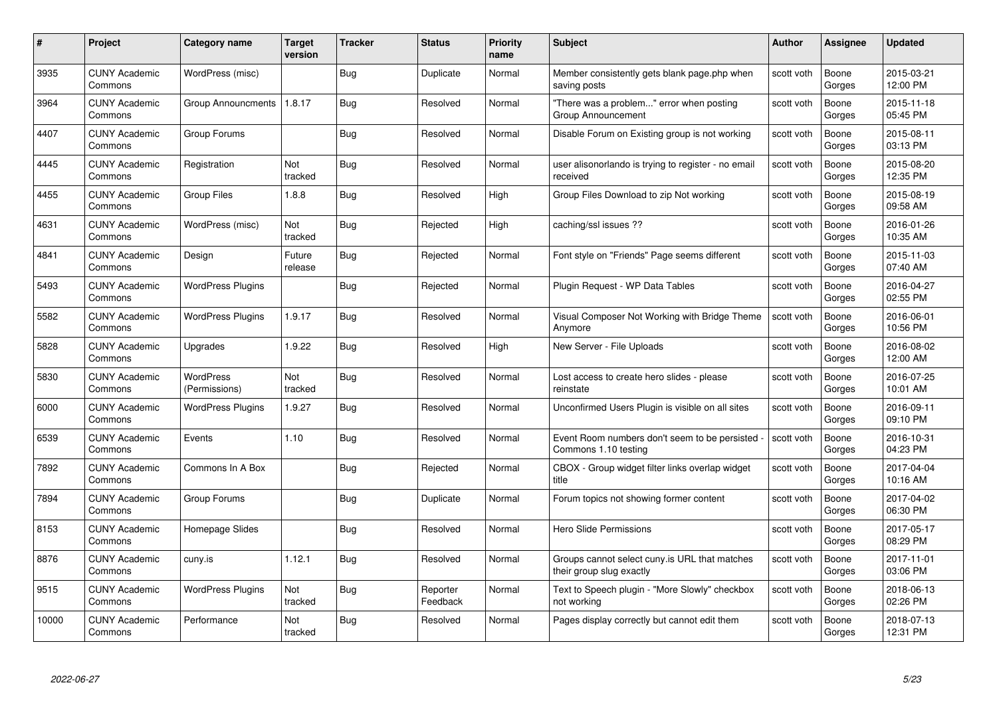| #     | Project                         | <b>Category name</b>       | Target<br>version | <b>Tracker</b> | <b>Status</b>        | <b>Priority</b><br>name | <b>Subject</b>                                                            | <b>Author</b> | <b>Assignee</b> | <b>Updated</b>         |
|-------|---------------------------------|----------------------------|-------------------|----------------|----------------------|-------------------------|---------------------------------------------------------------------------|---------------|-----------------|------------------------|
| 3935  | <b>CUNY Academic</b><br>Commons | WordPress (misc)           |                   | Bug            | Duplicate            | Normal                  | Member consistently gets blank page.php when<br>saving posts              | scott voth    | Boone<br>Gorges | 2015-03-21<br>12:00 PM |
| 3964  | <b>CUNY Academic</b><br>Commons | Group Announcments         | 1.8.17            | Bug            | Resolved             | Normal                  | "There was a problem" error when posting<br>Group Announcement            | scott voth    | Boone<br>Gorges | 2015-11-18<br>05:45 PM |
| 4407  | <b>CUNY Academic</b><br>Commons | Group Forums               |                   | Bug            | Resolved             | Normal                  | Disable Forum on Existing group is not working                            | scott voth    | Boone<br>Gorges | 2015-08-11<br>03:13 PM |
| 4445  | <b>CUNY Academic</b><br>Commons | Registration               | Not<br>tracked    | Bug            | Resolved             | Normal                  | user alisonorlando is trying to register - no email<br>received           | scott voth    | Boone<br>Gorges | 2015-08-20<br>12:35 PM |
| 4455  | CUNY Academic<br>Commons        | <b>Group Files</b>         | 1.8.8             | Bug            | Resolved             | High                    | Group Files Download to zip Not working                                   | scott voth    | Boone<br>Gorges | 2015-08-19<br>09:58 AM |
| 4631  | <b>CUNY Academic</b><br>Commons | WordPress (misc)           | Not<br>tracked    | <b>Bug</b>     | Rejected             | High                    | caching/ssl issues ??                                                     | scott voth    | Boone<br>Gorges | 2016-01-26<br>10:35 AM |
| 4841  | <b>CUNY Academic</b><br>Commons | Design                     | Future<br>release | Bug            | Rejected             | Normal                  | Font style on "Friends" Page seems different                              | scott voth    | Boone<br>Gorges | 2015-11-03<br>07:40 AM |
| 5493  | <b>CUNY Academic</b><br>Commons | <b>WordPress Plugins</b>   |                   | <b>Bug</b>     | Rejected             | Normal                  | Plugin Request - WP Data Tables                                           | scott voth    | Boone<br>Gorges | 2016-04-27<br>02:55 PM |
| 5582  | <b>CUNY Academic</b><br>Commons | <b>WordPress Plugins</b>   | 1.9.17            | Bug            | Resolved             | Normal                  | Visual Composer Not Working with Bridge Theme<br>Anymore                  | scott voth    | Boone<br>Gorges | 2016-06-01<br>10:56 PM |
| 5828  | <b>CUNY Academic</b><br>Commons | Upgrades                   | 1.9.22            | Bug            | Resolved             | High                    | New Server - File Uploads                                                 | scott voth    | Boone<br>Gorges | 2016-08-02<br>12:00 AM |
| 5830  | <b>CUNY Academic</b><br>Commons | WordPress<br>(Permissions) | Not<br>tracked    | Bug            | Resolved             | Normal                  | Lost access to create hero slides - please<br>reinstate                   | scott voth    | Boone<br>Gorges | 2016-07-25<br>10:01 AM |
| 6000  | <b>CUNY Academic</b><br>Commons | <b>WordPress Plugins</b>   | 1.9.27            | <b>Bug</b>     | Resolved             | Normal                  | Unconfirmed Users Plugin is visible on all sites                          | scott voth    | Boone<br>Gorges | 2016-09-11<br>09:10 PM |
| 6539  | <b>CUNY Academic</b><br>Commons | Events                     | 1.10              | Bug            | Resolved             | Normal                  | Event Room numbers don't seem to be persisted<br>Commons 1.10 testing     | scott voth    | Boone<br>Gorges | 2016-10-31<br>04:23 PM |
| 7892  | <b>CUNY Academic</b><br>Commons | Commons In A Box           |                   | <b>Bug</b>     | Rejected             | Normal                  | CBOX - Group widget filter links overlap widget<br>title                  | scott voth    | Boone<br>Gorges | 2017-04-04<br>10:16 AM |
| 7894  | <b>CUNY Academic</b><br>Commons | Group Forums               |                   | Bug            | Duplicate            | Normal                  | Forum topics not showing former content                                   | scott voth    | Boone<br>Gorges | 2017-04-02<br>06:30 PM |
| 8153  | <b>CUNY Academic</b><br>Commons | Homepage Slides            |                   | Bug            | Resolved             | Normal                  | <b>Hero Slide Permissions</b>                                             | scott voth    | Boone<br>Gorges | 2017-05-17<br>08:29 PM |
| 8876  | <b>CUNY Academic</b><br>Commons | cuny.is                    | 1.12.1            | Bug            | Resolved             | Normal                  | Groups cannot select cuny.is URL that matches<br>their group slug exactly | scott voth    | Boone<br>Gorges | 2017-11-01<br>03:06 PM |
| 9515  | <b>CUNY Academic</b><br>Commons | <b>WordPress Plugins</b>   | Not<br>tracked    | <b>Bug</b>     | Reporter<br>Feedback | Normal                  | Text to Speech plugin - "More Slowly" checkbox<br>not working             | scott voth    | Boone<br>Gorges | 2018-06-13<br>02:26 PM |
| 10000 | CUNY Academic<br>Commons        | Performance                | Not<br>tracked    | Bug            | Resolved             | Normal                  | Pages display correctly but cannot edit them                              | scott voth    | Boone<br>Gorges | 2018-07-13<br>12:31 PM |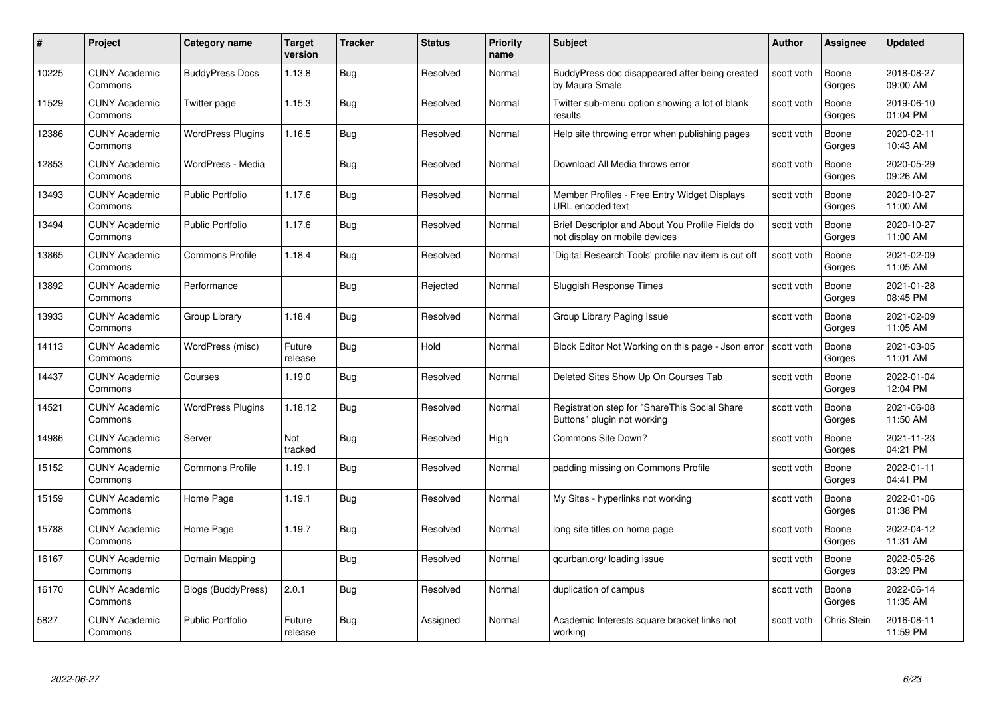|       | Project                         | <b>Category name</b>     | Target<br>version | <b>Tracker</b> | <b>Status</b> | <b>Priority</b><br>name | <b>Subject</b>                                                                    | <b>Author</b> | <b>Assignee</b>    | <b>Updated</b>         |
|-------|---------------------------------|--------------------------|-------------------|----------------|---------------|-------------------------|-----------------------------------------------------------------------------------|---------------|--------------------|------------------------|
| 10225 | <b>CUNY Academic</b><br>Commons | <b>BuddyPress Docs</b>   | 1.13.8            | <b>Bug</b>     | Resolved      | Normal                  | BuddyPress doc disappeared after being created<br>by Maura Smale                  | scott voth    | Boone<br>Gorges    | 2018-08-27<br>09:00 AM |
| 11529 | <b>CUNY Academic</b><br>Commons | Twitter page             | 1.15.3            | Bug            | Resolved      | Normal                  | Twitter sub-menu option showing a lot of blank<br>results                         | scott voth    | Boone<br>Gorges    | 2019-06-10<br>01:04 PM |
| 12386 | <b>CUNY Academic</b><br>Commons | <b>WordPress Plugins</b> | 1.16.5            | Bug            | Resolved      | Normal                  | Help site throwing error when publishing pages                                    | scott voth    | Boone<br>Gorges    | 2020-02-11<br>10:43 AM |
| 12853 | <b>CUNY Academic</b><br>Commons | WordPress - Media        |                   | Bug            | Resolved      | Normal                  | Download All Media throws error                                                   | scott voth    | Boone<br>Gorges    | 2020-05-29<br>09:26 AM |
| 13493 | <b>CUNY Academic</b><br>Commons | <b>Public Portfolio</b>  | 1.17.6            | <b>Bug</b>     | Resolved      | Normal                  | Member Profiles - Free Entry Widget Displays<br>URL encoded text                  | scott voth    | Boone<br>Gorges    | 2020-10-27<br>11:00 AM |
| 13494 | <b>CUNY Academic</b><br>Commons | <b>Public Portfolio</b>  | 1.17.6            | Bug            | Resolved      | Normal                  | Brief Descriptor and About You Profile Fields do<br>not display on mobile devices | scott voth    | Boone<br>Gorges    | 2020-10-27<br>11:00 AM |
| 13865 | <b>CUNY Academic</b><br>Commons | <b>Commons Profile</b>   | 1.18.4            | Bug            | Resolved      | Normal                  | 'Digital Research Tools' profile nav item is cut off                              | scott voth    | Boone<br>Gorges    | 2021-02-09<br>11:05 AM |
| 13892 | <b>CUNY Academic</b><br>Commons | Performance              |                   | <b>Bug</b>     | Rejected      | Normal                  | Sluggish Response Times                                                           | scott voth    | Boone<br>Gorges    | 2021-01-28<br>08:45 PM |
| 13933 | <b>CUNY Academic</b><br>Commons | Group Library            | 1.18.4            | Bug            | Resolved      | Normal                  | Group Library Paging Issue                                                        | scott voth    | Boone<br>Gorges    | 2021-02-09<br>11:05 AM |
| 14113 | <b>CUNY Academic</b><br>Commons | WordPress (misc)         | Future<br>release | Bug            | Hold          | Normal                  | Block Editor Not Working on this page - Json error                                | scott voth    | Boone<br>Gorges    | 2021-03-05<br>11:01 AM |
| 14437 | <b>CUNY Academic</b><br>Commons | Courses                  | 1.19.0            | Bug            | Resolved      | Normal                  | Deleted Sites Show Up On Courses Tab                                              | scott voth    | Boone<br>Gorges    | 2022-01-04<br>12:04 PM |
| 14521 | <b>CUNY Academic</b><br>Commons | <b>WordPress Plugins</b> | 1.18.12           | <b>Bug</b>     | Resolved      | Normal                  | Registration step for "ShareThis Social Share<br>Buttons" plugin not working      | scott voth    | Boone<br>Gorges    | 2021-06-08<br>11:50 AM |
| 14986 | <b>CUNY Academic</b><br>Commons | Server                   | Not<br>tracked    | Bug            | Resolved      | High                    | Commons Site Down?                                                                | scott voth    | Boone<br>Gorges    | 2021-11-23<br>04:21 PM |
| 15152 | <b>CUNY Academic</b><br>Commons | <b>Commons Profile</b>   | 1.19.1            | <b>Bug</b>     | Resolved      | Normal                  | padding missing on Commons Profile                                                | scott voth    | Boone<br>Gorges    | 2022-01-11<br>04:41 PM |
| 15159 | CUNY Academic<br>Commons        | Home Page                | 1.19.1            | Bug            | Resolved      | Normal                  | My Sites - hyperlinks not working                                                 | scott voth    | Boone<br>Gorges    | 2022-01-06<br>01:38 PM |
| 15788 | <b>CUNY Academic</b><br>Commons | Home Page                | 1.19.7            | <b>Bug</b>     | Resolved      | Normal                  | long site titles on home page                                                     | scott voth    | Boone<br>Gorges    | 2022-04-12<br>11:31 AM |
| 16167 | <b>CUNY Academic</b><br>Commons | Domain Mapping           |                   | Bug            | Resolved      | Normal                  | qcurban.org/loading issue                                                         | scott voth    | Boone<br>Gorges    | 2022-05-26<br>03:29 PM |
| 16170 | <b>CUNY Academic</b><br>Commons | Blogs (BuddyPress)       | 2.0.1             | <b>Bug</b>     | Resolved      | Normal                  | duplication of campus                                                             | scott voth    | Boone<br>Gorges    | 2022-06-14<br>11:35 AM |
| 5827  | <b>CUNY Academic</b><br>Commons | <b>Public Portfolio</b>  | Future<br>release | Bug            | Assigned      | Normal                  | Academic Interests square bracket links not<br>working                            | scott voth    | <b>Chris Stein</b> | 2016-08-11<br>11:59 PM |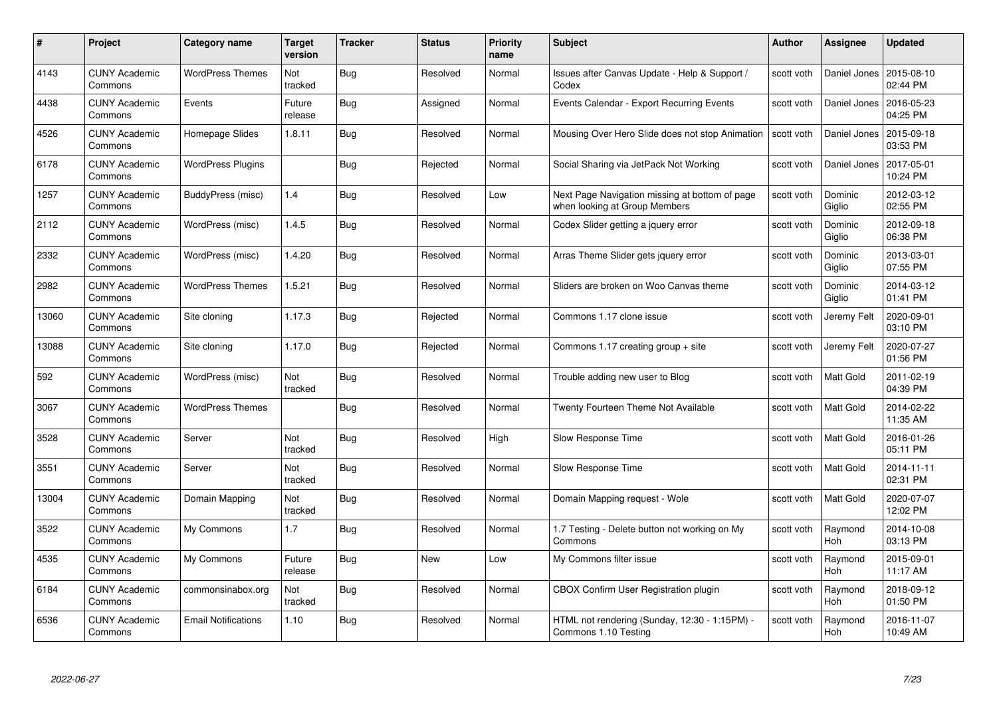| #     | Project                         | <b>Category name</b>       | Target<br>version | <b>Tracker</b> | <b>Status</b> | <b>Priority</b><br>name | <b>Subject</b>                                                                  | <b>Author</b> | <b>Assignee</b>       | <b>Updated</b>         |
|-------|---------------------------------|----------------------------|-------------------|----------------|---------------|-------------------------|---------------------------------------------------------------------------------|---------------|-----------------------|------------------------|
| 4143  | <b>CUNY Academic</b><br>Commons | <b>WordPress Themes</b>    | Not<br>tracked    | <b>Bug</b>     | Resolved      | Normal                  | Issues after Canvas Update - Help & Support /<br>Codex                          | scott voth    | Daniel Jones          | 2015-08-10<br>02:44 PM |
| 4438  | <b>CUNY Academic</b><br>Commons | Events                     | Future<br>release | Bug            | Assigned      | Normal                  | Events Calendar - Export Recurring Events                                       | scott voth    | Daniel Jones          | 2016-05-23<br>04:25 PM |
| 4526  | <b>CUNY Academic</b><br>Commons | Homepage Slides            | 1.8.11            | Bug            | Resolved      | Normal                  | Mousing Over Hero Slide does not stop Animation                                 | scott voth    | Daniel Jones          | 2015-09-18<br>03:53 PM |
| 6178  | <b>CUNY Academic</b><br>Commons | <b>WordPress Plugins</b>   |                   | Bug            | Rejected      | Normal                  | Social Sharing via JetPack Not Working                                          | scott voth    | Daniel Jones          | 2017-05-01<br>10:24 PM |
| 1257  | <b>CUNY Academic</b><br>Commons | BuddyPress (misc)          | 1.4               | Bug            | Resolved      | Low                     | Next Page Navigation missing at bottom of page<br>when looking at Group Members | scott voth    | Dominic<br>Giglio     | 2012-03-12<br>02:55 PM |
| 2112  | <b>CUNY Academic</b><br>Commons | WordPress (misc)           | 1.4.5             | Bug            | Resolved      | Normal                  | Codex Slider getting a jquery error                                             | scott voth    | Dominic<br>Giglio     | 2012-09-18<br>06:38 PM |
| 2332  | <b>CUNY Academic</b><br>Commons | WordPress (misc)           | 1.4.20            | Bug            | Resolved      | Normal                  | Arras Theme Slider gets jquery error                                            | scott voth    | Dominic<br>Giglio     | 2013-03-01<br>07:55 PM |
| 2982  | <b>CUNY Academic</b><br>Commons | <b>WordPress Themes</b>    | 1.5.21            | Bug            | Resolved      | Normal                  | Sliders are broken on Woo Canvas theme                                          | scott voth    | Dominic<br>Giglio     | 2014-03-12<br>01:41 PM |
| 13060 | <b>CUNY Academic</b><br>Commons | Site cloning               | 1.17.3            | Bug            | Rejected      | Normal                  | Commons 1.17 clone issue                                                        | scott voth    | Jeremy Felt           | 2020-09-01<br>03:10 PM |
| 13088 | <b>CUNY Academic</b><br>Commons | Site cloning               | 1.17.0            | Bug            | Rejected      | Normal                  | Commons 1.17 creating group + site                                              | scott voth    | Jeremy Felt           | 2020-07-27<br>01:56 PM |
| 592   | <b>CUNY Academic</b><br>Commons | WordPress (misc)           | Not<br>tracked    | Bug            | Resolved      | Normal                  | Trouble adding new user to Blog                                                 | scott voth    | <b>Matt Gold</b>      | 2011-02-19<br>04:39 PM |
| 3067  | <b>CUNY Academic</b><br>Commons | <b>WordPress Themes</b>    |                   | Bug            | Resolved      | Normal                  | Twenty Fourteen Theme Not Available                                             | scott voth    | <b>Matt Gold</b>      | 2014-02-22<br>11:35 AM |
| 3528  | <b>CUNY Academic</b><br>Commons | Server                     | Not<br>tracked    | Bug            | Resolved      | High                    | Slow Response Time                                                              | scott voth    | <b>Matt Gold</b>      | 2016-01-26<br>05:11 PM |
| 3551  | <b>CUNY Academic</b><br>Commons | Server                     | Not<br>tracked    | <b>Bug</b>     | Resolved      | Normal                  | Slow Response Time                                                              | scott voth    | <b>Matt Gold</b>      | 2014-11-11<br>02:31 PM |
| 13004 | <b>CUNY Academic</b><br>Commons | Domain Mapping             | Not<br>tracked    | Bug            | Resolved      | Normal                  | Domain Mapping request - Wole                                                   | scott voth    | Matt Gold             | 2020-07-07<br>12:02 PM |
| 3522  | <b>CUNY Academic</b><br>Commons | My Commons                 | 1.7               | Bug            | Resolved      | Normal                  | 1.7 Testing - Delete button not working on My<br>Commons                        | scott voth    | Raymond<br>Hoh        | 2014-10-08<br>03:13 PM |
| 4535  | <b>CUNY Academic</b><br>Commons | My Commons                 | Future<br>release | Bug            | New           | Low                     | My Commons filter issue                                                         | scott voth    | Raymond<br><b>Hoh</b> | 2015-09-01<br>11:17 AM |
| 6184  | <b>CUNY Academic</b><br>Commons | commonsinabox.org          | Not<br>tracked    | Bug            | Resolved      | Normal                  | CBOX Confirm User Registration plugin                                           | scott voth    | Raymond<br>Hoh        | 2018-09-12<br>01:50 PM |
| 6536  | CUNY Academic<br>Commons        | <b>Email Notifications</b> | 1.10              | Bug            | Resolved      | Normal                  | HTML not rendering (Sunday, 12:30 - 1:15PM) -<br>Commons 1.10 Testing           | scott voth    | Raymond<br>Hoh        | 2016-11-07<br>10:49 AM |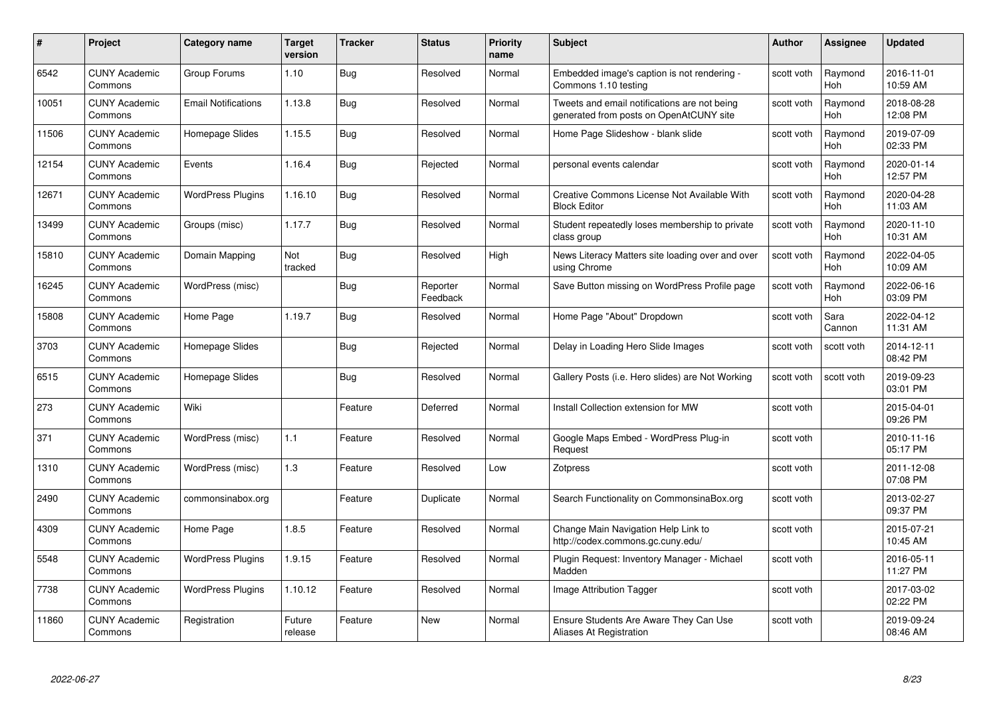| #     | Project                         | <b>Category name</b>       | Target<br>version | <b>Tracker</b> | <b>Status</b>        | <b>Priority</b><br>name | <b>Subject</b>                                                                          | <b>Author</b> | <b>Assignee</b>       | <b>Updated</b>         |
|-------|---------------------------------|----------------------------|-------------------|----------------|----------------------|-------------------------|-----------------------------------------------------------------------------------------|---------------|-----------------------|------------------------|
| 6542  | <b>CUNY Academic</b><br>Commons | Group Forums               | 1.10              | <b>Bug</b>     | Resolved             | Normal                  | Embedded image's caption is not rendering -<br>Commons 1.10 testing                     | scott voth    | Raymond<br><b>Hoh</b> | 2016-11-01<br>10:59 AM |
| 10051 | <b>CUNY Academic</b><br>Commons | <b>Email Notifications</b> | 1.13.8            | <b>Bug</b>     | Resolved             | Normal                  | Tweets and email notifications are not being<br>generated from posts on OpenAtCUNY site | scott voth    | Raymond<br>Hoh        | 2018-08-28<br>12:08 PM |
| 11506 | CUNY Academic<br>Commons        | Homepage Slides            | 1.15.5            | <b>Bug</b>     | Resolved             | Normal                  | Home Page Slideshow - blank slide                                                       | scott voth    | Raymond<br><b>Hoh</b> | 2019-07-09<br>02:33 PM |
| 12154 | <b>CUNY Academic</b><br>Commons | Events                     | 1.16.4            | Bug            | Rejected             | Normal                  | personal events calendar                                                                | scott voth    | Raymond<br>Hoh        | 2020-01-14<br>12:57 PM |
| 12671 | <b>CUNY Academic</b><br>Commons | <b>WordPress Plugins</b>   | 1.16.10           | <b>Bug</b>     | Resolved             | Normal                  | Creative Commons License Not Available With<br><b>Block Editor</b>                      | scott voth    | Raymond<br><b>Hoh</b> | 2020-04-28<br>11:03 AM |
| 13499 | <b>CUNY Academic</b><br>Commons | Groups (misc)              | 1.17.7            | <b>Bug</b>     | Resolved             | Normal                  | Student repeatedly loses membership to private<br>class group                           | scott voth    | Raymond<br>Hoh        | 2020-11-10<br>10:31 AM |
| 15810 | <b>CUNY Academic</b><br>Commons | Domain Mapping             | Not<br>tracked    | <b>Bug</b>     | Resolved             | High                    | News Literacy Matters site loading over and over<br>using Chrome                        | scott voth    | Raymond<br>Hoh        | 2022-04-05<br>10:09 AM |
| 16245 | <b>CUNY Academic</b><br>Commons | WordPress (misc)           |                   | Bug            | Reporter<br>Feedback | Normal                  | Save Button missing on WordPress Profile page                                           | scott voth    | Raymond<br><b>Hoh</b> | 2022-06-16<br>03:09 PM |
| 15808 | <b>CUNY Academic</b><br>Commons | Home Page                  | 1.19.7            | <b>Bug</b>     | Resolved             | Normal                  | Home Page "About" Dropdown                                                              | scott voth    | Sara<br>Cannon        | 2022-04-12<br>11:31 AM |
| 3703  | <b>CUNY Academic</b><br>Commons | Homepage Slides            |                   | <b>Bug</b>     | Rejected             | Normal                  | Delay in Loading Hero Slide Images                                                      | scott voth    | scott voth            | 2014-12-11<br>08:42 PM |
| 6515  | CUNY Academic<br>Commons        | Homepage Slides            |                   | <b>Bug</b>     | Resolved             | Normal                  | Gallery Posts (i.e. Hero slides) are Not Working                                        | scott voth    | scott voth            | 2019-09-23<br>03:01 PM |
| 273   | <b>CUNY Academic</b><br>Commons | Wiki                       |                   | Feature        | Deferred             | Normal                  | Install Collection extension for MW                                                     | scott voth    |                       | 2015-04-01<br>09:26 PM |
| 371   | CUNY Academic<br>Commons        | WordPress (misc)           | 1.1               | Feature        | Resolved             | Normal                  | Google Maps Embed - WordPress Plug-in<br>Request                                        | scott voth    |                       | 2010-11-16<br>05:17 PM |
| 1310  | <b>CUNY Academic</b><br>Commons | WordPress (misc)           | 1.3               | Feature        | Resolved             | Low                     | Zotpress                                                                                | scott voth    |                       | 2011-12-08<br>07:08 PM |
| 2490  | <b>CUNY Academic</b><br>Commons | commonsinabox.org          |                   | Feature        | Duplicate            | Normal                  | Search Functionality on CommonsinaBox.org                                               | scott voth    |                       | 2013-02-27<br>09:37 PM |
| 4309  | <b>CUNY Academic</b><br>Commons | Home Page                  | 1.8.5             | Feature        | Resolved             | Normal                  | Change Main Navigation Help Link to<br>http://codex.commons.gc.cuny.edu/                | scott voth    |                       | 2015-07-21<br>10:45 AM |
| 5548  | <b>CUNY Academic</b><br>Commons | <b>WordPress Plugins</b>   | 1.9.15            | Feature        | Resolved             | Normal                  | Plugin Request: Inventory Manager - Michael<br>Madden                                   | scott voth    |                       | 2016-05-11<br>11:27 PM |
| 7738  | <b>CUNY Academic</b><br>Commons | <b>WordPress Plugins</b>   | 1.10.12           | Feature        | Resolved             | Normal                  | Image Attribution Tagger                                                                | scott voth    |                       | 2017-03-02<br>02:22 PM |
| 11860 | CUNY Academic<br>Commons        | Registration               | Future<br>release | Feature        | New                  | Normal                  | Ensure Students Are Aware They Can Use<br>Aliases At Registration                       | scott voth    |                       | 2019-09-24<br>08:46 AM |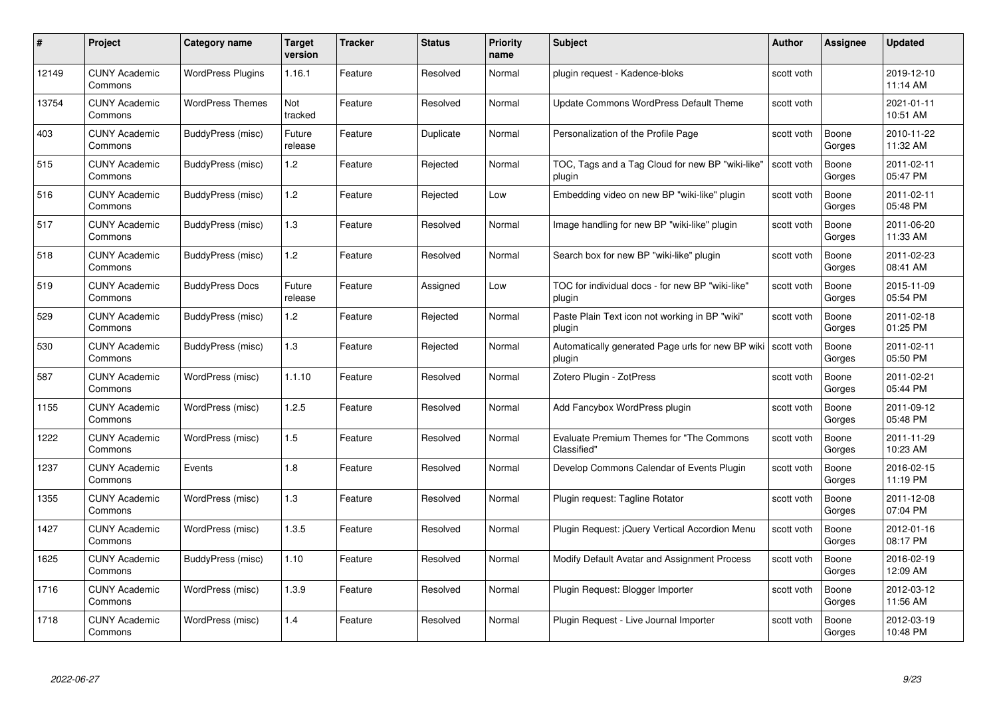| #     | Project                         | Category name            | Target<br>version | <b>Tracker</b> | <b>Status</b> | <b>Priority</b><br>name | <b>Subject</b>                                              | <b>Author</b> | Assignee        | <b>Updated</b>         |
|-------|---------------------------------|--------------------------|-------------------|----------------|---------------|-------------------------|-------------------------------------------------------------|---------------|-----------------|------------------------|
| 12149 | <b>CUNY Academic</b><br>Commons | <b>WordPress Plugins</b> | 1.16.1            | Feature        | Resolved      | Normal                  | plugin request - Kadence-bloks                              | scott voth    |                 | 2019-12-10<br>11:14 AM |
| 13754 | <b>CUNY Academic</b><br>Commons | <b>WordPress Themes</b>  | Not<br>tracked    | Feature        | Resolved      | Normal                  | Update Commons WordPress Default Theme                      | scott voth    |                 | 2021-01-11<br>10:51 AM |
| 403   | CUNY Academic<br>Commons        | BuddyPress (misc)        | Future<br>release | Feature        | Duplicate     | Normal                  | Personalization of the Profile Page                         | scott voth    | Boone<br>Gorges | 2010-11-22<br>11:32 AM |
| 515   | <b>CUNY Academic</b><br>Commons | BuddyPress (misc)        | 1.2               | Feature        | Rejected      | Normal                  | TOC, Tags and a Tag Cloud for new BP "wiki-like"<br>plugin  | scott voth    | Boone<br>Gorges | 2011-02-11<br>05:47 PM |
| 516   | <b>CUNY Academic</b><br>Commons | BuddyPress (misc)        | 1.2               | Feature        | Rejected      | Low                     | Embedding video on new BP "wiki-like" plugin                | scott voth    | Boone<br>Gorges | 2011-02-11<br>05:48 PM |
| 517   | <b>CUNY Academic</b><br>Commons | BuddyPress (misc)        | 1.3               | Feature        | Resolved      | Normal                  | Image handling for new BP "wiki-like" plugin                | scott voth    | Boone<br>Gorges | 2011-06-20<br>11:33 AM |
| 518   | <b>CUNY Academic</b><br>Commons | BuddyPress (misc)        | 1.2               | Feature        | Resolved      | Normal                  | Search box for new BP "wiki-like" plugin                    | scott voth    | Boone<br>Gorges | 2011-02-23<br>08:41 AM |
| 519   | <b>CUNY Academic</b><br>Commons | <b>BuddyPress Docs</b>   | Future<br>release | Feature        | Assigned      | Low                     | TOC for individual docs - for new BP "wiki-like"<br>plugin  | scott voth    | Boone<br>Gorges | 2015-11-09<br>05:54 PM |
| 529   | <b>CUNY Academic</b><br>Commons | BuddyPress (misc)        | 1.2               | Feature        | Rejected      | Normal                  | Paste Plain Text icon not working in BP "wiki"<br>plugin    | scott voth    | Boone<br>Gorges | 2011-02-18<br>01:25 PM |
| 530   | <b>CUNY Academic</b><br>Commons | BuddyPress (misc)        | 1.3               | Feature        | Rejected      | Normal                  | Automatically generated Page urls for new BP wiki<br>plugin | scott voth    | Boone<br>Gorges | 2011-02-11<br>05:50 PM |
| 587   | <b>CUNY Academic</b><br>Commons | WordPress (misc)         | 1.1.10            | Feature        | Resolved      | Normal                  | Zotero Plugin - ZotPress                                    | scott voth    | Boone<br>Gorges | 2011-02-21<br>05:44 PM |
| 1155  | <b>CUNY Academic</b><br>Commons | WordPress (misc)         | 1.2.5             | Feature        | Resolved      | Normal                  | Add Fancybox WordPress plugin                               | scott voth    | Boone<br>Gorges | 2011-09-12<br>05:48 PM |
| 1222  | <b>CUNY Academic</b><br>Commons | WordPress (misc)         | 1.5               | Feature        | Resolved      | Normal                  | Evaluate Premium Themes for "The Commons<br>Classified"     | scott voth    | Boone<br>Gorges | 2011-11-29<br>10:23 AM |
| 1237  | <b>CUNY Academic</b><br>Commons | Events                   | 1.8               | Feature        | Resolved      | Normal                  | Develop Commons Calendar of Events Plugin                   | scott voth    | Boone<br>Gorges | 2016-02-15<br>11:19 PM |
| 1355  | <b>CUNY Academic</b><br>Commons | WordPress (misc)         | 1.3               | Feature        | Resolved      | Normal                  | Plugin request: Tagline Rotator                             | scott voth    | Boone<br>Gorges | 2011-12-08<br>07:04 PM |
| 1427  | <b>CUNY Academic</b><br>Commons | WordPress (misc)         | 1.3.5             | Feature        | Resolved      | Normal                  | Plugin Request: jQuery Vertical Accordion Menu              | scott voth    | Boone<br>Gorges | 2012-01-16<br>08:17 PM |
| 1625  | <b>CUNY Academic</b><br>Commons | BuddyPress (misc)        | 1.10              | Feature        | Resolved      | Normal                  | Modify Default Avatar and Assignment Process                | scott voth    | Boone<br>Gorges | 2016-02-19<br>12:09 AM |
| 1716  | <b>CUNY Academic</b><br>Commons | WordPress (misc)         | 1.3.9             | Feature        | Resolved      | Normal                  | Plugin Request: Blogger Importer                            | scott voth    | Boone<br>Gorges | 2012-03-12<br>11:56 AM |
| 1718  | CUNY Academic<br>Commons        | WordPress (misc)         | 1.4               | Feature        | Resolved      | Normal                  | Plugin Reguest - Live Journal Importer                      | scott voth    | Boone<br>Gorges | 2012-03-19<br>10:48 PM |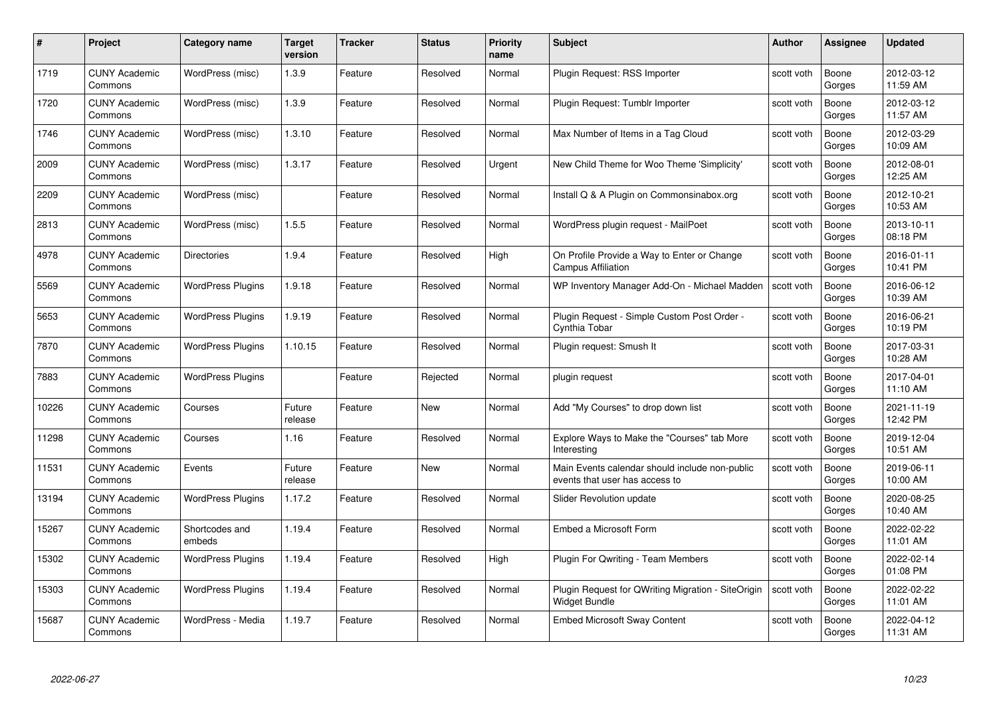| #     | Project                         | Category name            | Target<br>version | <b>Tracker</b> | <b>Status</b> | <b>Priority</b><br>name | <b>Subject</b>                                                                   | Author     | Assignee        | <b>Updated</b>         |
|-------|---------------------------------|--------------------------|-------------------|----------------|---------------|-------------------------|----------------------------------------------------------------------------------|------------|-----------------|------------------------|
| 1719  | <b>CUNY Academic</b><br>Commons | WordPress (misc)         | 1.3.9             | Feature        | Resolved      | Normal                  | Plugin Request: RSS Importer                                                     | scott voth | Boone<br>Gorges | 2012-03-12<br>11:59 AM |
| 1720  | <b>CUNY Academic</b><br>Commons | WordPress (misc)         | 1.3.9             | Feature        | Resolved      | Normal                  | Plugin Request: Tumblr Importer                                                  | scott voth | Boone<br>Gorges | 2012-03-12<br>11:57 AM |
| 1746  | <b>CUNY Academic</b><br>Commons | WordPress (misc)         | 1.3.10            | Feature        | Resolved      | Normal                  | Max Number of Items in a Tag Cloud                                               | scott voth | Boone<br>Gorges | 2012-03-29<br>10:09 AM |
| 2009  | <b>CUNY Academic</b><br>Commons | WordPress (misc)         | 1.3.17            | Feature        | Resolved      | Urgent                  | New Child Theme for Woo Theme 'Simplicity'                                       | scott voth | Boone<br>Gorges | 2012-08-01<br>12:25 AM |
| 2209  | <b>CUNY Academic</b><br>Commons | WordPress (misc)         |                   | Feature        | Resolved      | Normal                  | Install Q & A Plugin on Commonsinabox.org                                        | scott voth | Boone<br>Gorges | 2012-10-21<br>10:53 AM |
| 2813  | <b>CUNY Academic</b><br>Commons | WordPress (misc)         | 1.5.5             | Feature        | Resolved      | Normal                  | WordPress plugin request - MailPoet                                              | scott voth | Boone<br>Gorges | 2013-10-11<br>08:18 PM |
| 4978  | <b>CUNY Academic</b><br>Commons | <b>Directories</b>       | 1.9.4             | Feature        | Resolved      | High                    | On Profile Provide a Way to Enter or Change<br>Campus Affiliation                | scott voth | Boone<br>Gorges | 2016-01-11<br>10:41 PM |
| 5569  | <b>CUNY Academic</b><br>Commons | <b>WordPress Plugins</b> | 1.9.18            | Feature        | Resolved      | Normal                  | WP Inventory Manager Add-On - Michael Madden                                     | scott voth | Boone<br>Gorges | 2016-06-12<br>10:39 AM |
| 5653  | <b>CUNY Academic</b><br>Commons | <b>WordPress Plugins</b> | 1.9.19            | Feature        | Resolved      | Normal                  | Plugin Request - Simple Custom Post Order -<br>Cynthia Tobar                     | scott voth | Boone<br>Gorges | 2016-06-21<br>10:19 PM |
| 7870  | <b>CUNY Academic</b><br>Commons | <b>WordPress Plugins</b> | 1.10.15           | Feature        | Resolved      | Normal                  | Plugin request: Smush It                                                         | scott voth | Boone<br>Gorges | 2017-03-31<br>10:28 AM |
| 7883  | <b>CUNY Academic</b><br>Commons | <b>WordPress Plugins</b> |                   | Feature        | Rejected      | Normal                  | plugin request                                                                   | scott voth | Boone<br>Gorges | 2017-04-01<br>11:10 AM |
| 10226 | <b>CUNY Academic</b><br>Commons | Courses                  | Future<br>release | Feature        | New           | Normal                  | Add "My Courses" to drop down list                                               | scott voth | Boone<br>Gorges | 2021-11-19<br>12:42 PM |
| 11298 | <b>CUNY Academic</b><br>Commons | Courses                  | 1.16              | Feature        | Resolved      | Normal                  | Explore Ways to Make the "Courses" tab More<br>Interesting                       | scott voth | Boone<br>Gorges | 2019-12-04<br>10:51 AM |
| 11531 | <b>CUNY Academic</b><br>Commons | Events                   | Future<br>release | Feature        | <b>New</b>    | Normal                  | Main Events calendar should include non-public<br>events that user has access to | scott voth | Boone<br>Gorges | 2019-06-11<br>10:00 AM |
| 13194 | <b>CUNY Academic</b><br>Commons | <b>WordPress Plugins</b> | 1.17.2            | Feature        | Resolved      | Normal                  | Slider Revolution update                                                         | scott voth | Boone<br>Gorges | 2020-08-25<br>10:40 AM |
| 15267 | <b>CUNY Academic</b><br>Commons | Shortcodes and<br>embeds | 1.19.4            | Feature        | Resolved      | Normal                  | Embed a Microsoft Form                                                           | scott voth | Boone<br>Gorges | 2022-02-22<br>11:01 AM |
| 15302 | <b>CUNY Academic</b><br>Commons | <b>WordPress Plugins</b> | 1.19.4            | Feature        | Resolved      | High                    | <b>Plugin For Qwriting - Team Members</b>                                        | scott voth | Boone<br>Gorges | 2022-02-14<br>01:08 PM |
| 15303 | <b>CUNY Academic</b><br>Commons | <b>WordPress Plugins</b> | 1.19.4            | Feature        | Resolved      | Normal                  | Plugin Request for QWriting Migration - SiteOrigin<br><b>Widget Bundle</b>       | scott voth | Boone<br>Gorges | 2022-02-22<br>11:01 AM |
| 15687 | <b>CUNY Academic</b><br>Commons | WordPress - Media        | 1.19.7            | Feature        | Resolved      | Normal                  | <b>Embed Microsoft Sway Content</b>                                              | scott voth | Boone<br>Gorges | 2022-04-12<br>11:31 AM |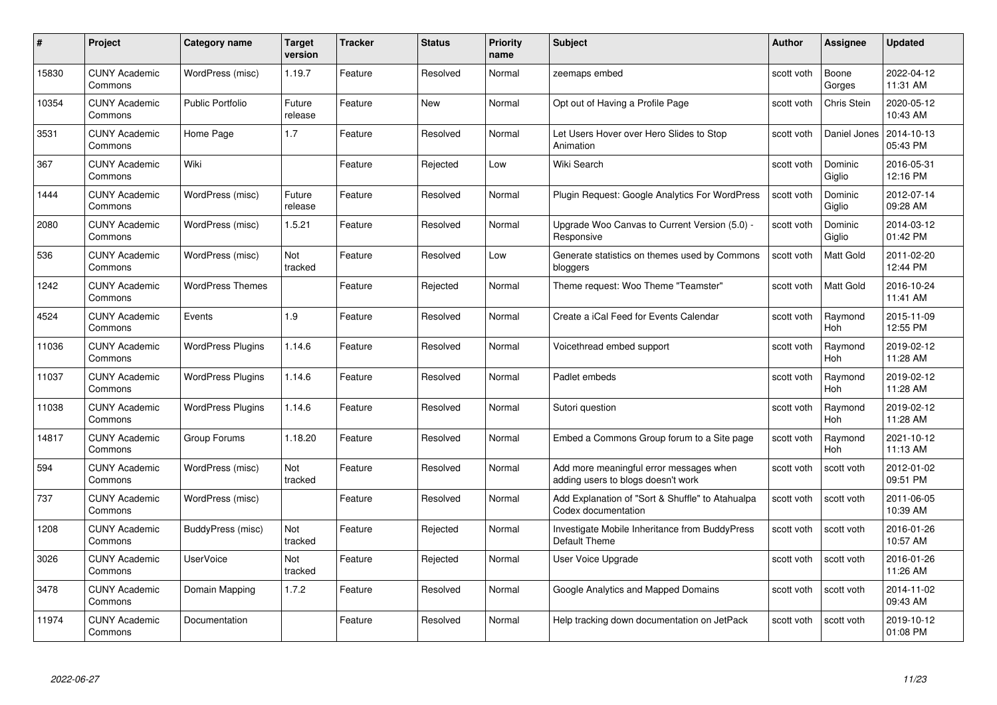| #     | Project                         | Category name            | Target<br>version | <b>Tracker</b> | <b>Status</b> | <b>Priority</b><br>name | <b>Subject</b>                                                                | Author     | <b>Assignee</b>       | <b>Updated</b>         |
|-------|---------------------------------|--------------------------|-------------------|----------------|---------------|-------------------------|-------------------------------------------------------------------------------|------------|-----------------------|------------------------|
| 15830 | <b>CUNY Academic</b><br>Commons | WordPress (misc)         | 1.19.7            | Feature        | Resolved      | Normal                  | zeemaps embed                                                                 | scott voth | Boone<br>Gorges       | 2022-04-12<br>11:31 AM |
| 10354 | <b>CUNY Academic</b><br>Commons | <b>Public Portfolio</b>  | Future<br>release | Feature        | New           | Normal                  | Opt out of Having a Profile Page                                              | scott voth | Chris Stein           | 2020-05-12<br>10:43 AM |
| 3531  | <b>CUNY Academic</b><br>Commons | Home Page                | 1.7               | Feature        | Resolved      | Normal                  | Let Users Hover over Hero Slides to Stop<br>Animation                         | scott voth | Daniel Jones          | 2014-10-13<br>05:43 PM |
| 367   | <b>CUNY Academic</b><br>Commons | Wiki                     |                   | Feature        | Rejected      | Low                     | Wiki Search                                                                   | scott voth | Dominic<br>Giglio     | 2016-05-31<br>12:16 PM |
| 1444  | <b>CUNY Academic</b><br>Commons | WordPress (misc)         | Future<br>release | Feature        | Resolved      | Normal                  | Plugin Request: Google Analytics For WordPress                                | scott voth | Dominic<br>Giglio     | 2012-07-14<br>09:28 AM |
| 2080  | <b>CUNY Academic</b><br>Commons | WordPress (misc)         | 1.5.21            | Feature        | Resolved      | Normal                  | Upgrade Woo Canvas to Current Version (5.0) -<br>Responsive                   | scott voth | Dominic<br>Giglio     | 2014-03-12<br>01:42 PM |
| 536   | <b>CUNY Academic</b><br>Commons | WordPress (misc)         | Not<br>tracked    | Feature        | Resolved      | Low                     | Generate statistics on themes used by Commons<br>bloggers                     | scott voth | Matt Gold             | 2011-02-20<br>12:44 PM |
| 1242  | <b>CUNY Academic</b><br>Commons | <b>WordPress Themes</b>  |                   | Feature        | Rejected      | Normal                  | Theme request: Woo Theme "Teamster"                                           | scott voth | Matt Gold             | 2016-10-24<br>11:41 AM |
| 4524  | <b>CUNY Academic</b><br>Commons | Events                   | 1.9               | Feature        | Resolved      | Normal                  | Create a iCal Feed for Events Calendar                                        | scott voth | Raymond<br><b>Hoh</b> | 2015-11-09<br>12:55 PM |
| 11036 | <b>CUNY Academic</b><br>Commons | <b>WordPress Plugins</b> | 1.14.6            | Feature        | Resolved      | Normal                  | Voicethread embed support                                                     | scott voth | Raymond<br>Hoh        | 2019-02-12<br>11:28 AM |
| 11037 | <b>CUNY Academic</b><br>Commons | <b>WordPress Plugins</b> | 1.14.6            | Feature        | Resolved      | Normal                  | Padlet embeds                                                                 | scott voth | Raymond<br>Hoh        | 2019-02-12<br>11:28 AM |
| 11038 | <b>CUNY Academic</b><br>Commons | <b>WordPress Plugins</b> | 1.14.6            | Feature        | Resolved      | Normal                  | Sutori question                                                               | scott voth | Raymond<br><b>Hoh</b> | 2019-02-12<br>11:28 AM |
| 14817 | <b>CUNY Academic</b><br>Commons | Group Forums             | 1.18.20           | Feature        | Resolved      | Normal                  | Embed a Commons Group forum to a Site page                                    | scott voth | Raymond<br>Hoh        | 2021-10-12<br>11:13 AM |
| 594   | <b>CUNY Academic</b><br>Commons | WordPress (misc)         | Not<br>tracked    | Feature        | Resolved      | Normal                  | Add more meaningful error messages when<br>adding users to blogs doesn't work | scott voth | scott voth            | 2012-01-02<br>09:51 PM |
| 737   | <b>CUNY Academic</b><br>Commons | WordPress (misc)         |                   | Feature        | Resolved      | Normal                  | Add Explanation of "Sort & Shuffle" to Atahualpa<br>Codex documentation       | scott voth | scott voth            | 2011-06-05<br>10:39 AM |
| 1208  | <b>CUNY Academic</b><br>Commons | BuddyPress (misc)        | Not<br>tracked    | Feature        | Rejected      | Normal                  | Investigate Mobile Inheritance from BuddyPress<br>Default Theme               | scott voth | scott voth            | 2016-01-26<br>10:57 AM |
| 3026  | <b>CUNY Academic</b><br>Commons | <b>UserVoice</b>         | Not<br>tracked    | Feature        | Rejected      | Normal                  | User Voice Upgrade                                                            | scott voth | scott voth            | 2016-01-26<br>11:26 AM |
| 3478  | <b>CUNY Academic</b><br>Commons | Domain Mapping           | 1.7.2             | Feature        | Resolved      | Normal                  | Google Analytics and Mapped Domains                                           | scott voth | scott voth            | 2014-11-02<br>09:43 AM |
| 11974 | <b>CUNY Academic</b><br>Commons | Documentation            |                   | Feature        | Resolved      | Normal                  | Help tracking down documentation on JetPack                                   | scott voth | scott voth            | 2019-10-12<br>01:08 PM |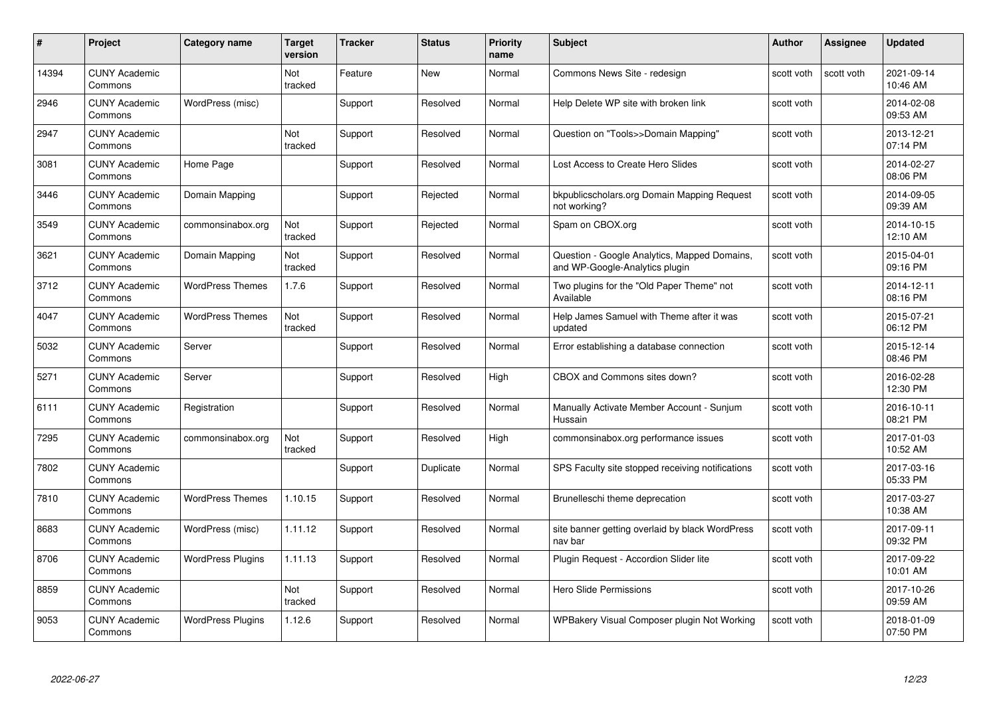| #     | Project                         | <b>Category name</b>     | <b>Target</b><br>version | <b>Tracker</b> | <b>Status</b> | <b>Priority</b><br>name | <b>Subject</b>                                                                 | <b>Author</b> | <b>Assignee</b> | <b>Updated</b>         |
|-------|---------------------------------|--------------------------|--------------------------|----------------|---------------|-------------------------|--------------------------------------------------------------------------------|---------------|-----------------|------------------------|
| 14394 | <b>CUNY Academic</b><br>Commons |                          | Not<br>tracked           | Feature        | <b>New</b>    | Normal                  | Commons News Site - redesign                                                   | scott voth    | scott voth      | 2021-09-14<br>10:46 AM |
| 2946  | <b>CUNY Academic</b><br>Commons | WordPress (misc)         |                          | Support        | Resolved      | Normal                  | Help Delete WP site with broken link                                           | scott voth    |                 | 2014-02-08<br>09:53 AM |
| 2947  | <b>CUNY Academic</b><br>Commons |                          | Not<br>tracked           | Support        | Resolved      | Normal                  | Question on "Tools>>Domain Mapping"                                            | scott voth    |                 | 2013-12-21<br>07:14 PM |
| 3081  | <b>CUNY Academic</b><br>Commons | Home Page                |                          | Support        | Resolved      | Normal                  | Lost Access to Create Hero Slides                                              | scott voth    |                 | 2014-02-27<br>08:06 PM |
| 3446  | <b>CUNY Academic</b><br>Commons | Domain Mapping           |                          | Support        | Rejected      | Normal                  | bkpublicscholars.org Domain Mapping Request<br>not working?                    | scott voth    |                 | 2014-09-05<br>09:39 AM |
| 3549  | <b>CUNY Academic</b><br>Commons | commonsinabox.org        | Not<br>tracked           | Support        | Rejected      | Normal                  | Spam on CBOX.org                                                               | scott voth    |                 | 2014-10-15<br>12:10 AM |
| 3621  | <b>CUNY Academic</b><br>Commons | Domain Mapping           | Not<br>tracked           | Support        | Resolved      | Normal                  | Question - Google Analytics, Mapped Domains,<br>and WP-Google-Analytics plugin | scott voth    |                 | 2015-04-01<br>09:16 PM |
| 3712  | <b>CUNY Academic</b><br>Commons | <b>WordPress Themes</b>  | 1.7.6                    | Support        | Resolved      | Normal                  | Two plugins for the "Old Paper Theme" not<br>Available                         | scott voth    |                 | 2014-12-11<br>08:16 PM |
| 4047  | <b>CUNY Academic</b><br>Commons | <b>WordPress Themes</b>  | Not<br>tracked           | Support        | Resolved      | Normal                  | Help James Samuel with Theme after it was<br>updated                           | scott voth    |                 | 2015-07-21<br>06:12 PM |
| 5032  | <b>CUNY Academic</b><br>Commons | Server                   |                          | Support        | Resolved      | Normal                  | Error establishing a database connection                                       | scott voth    |                 | 2015-12-14<br>08:46 PM |
| 5271  | <b>CUNY Academic</b><br>Commons | Server                   |                          | Support        | Resolved      | High                    | CBOX and Commons sites down?                                                   | scott voth    |                 | 2016-02-28<br>12:30 PM |
| 6111  | <b>CUNY Academic</b><br>Commons | Registration             |                          | Support        | Resolved      | Normal                  | Manually Activate Member Account - Sunjum<br>Hussain                           | scott voth    |                 | 2016-10-11<br>08:21 PM |
| 7295  | <b>CUNY Academic</b><br>Commons | commonsinabox.org        | Not<br>tracked           | Support        | Resolved      | High                    | commonsinabox.org performance issues                                           | scott voth    |                 | 2017-01-03<br>10:52 AM |
| 7802  | <b>CUNY Academic</b><br>Commons |                          |                          | Support        | Duplicate     | Normal                  | SPS Faculty site stopped receiving notifications                               | scott voth    |                 | 2017-03-16<br>05:33 PM |
| 7810  | <b>CUNY Academic</b><br>Commons | <b>WordPress Themes</b>  | 1.10.15                  | Support        | Resolved      | Normal                  | Brunelleschi theme deprecation                                                 | scott voth    |                 | 2017-03-27<br>10:38 AM |
| 8683  | <b>CUNY Academic</b><br>Commons | WordPress (misc)         | 1.11.12                  | Support        | Resolved      | Normal                  | site banner getting overlaid by black WordPress<br>nav bar                     | scott voth    |                 | 2017-09-11<br>09:32 PM |
| 8706  | <b>CUNY Academic</b><br>Commons | <b>WordPress Plugins</b> | 1.11.13                  | Support        | Resolved      | Normal                  | Plugin Request - Accordion Slider lite                                         | scott voth    |                 | 2017-09-22<br>10:01 AM |
| 8859  | <b>CUNY Academic</b><br>Commons |                          | Not<br>tracked           | Support        | Resolved      | Normal                  | Hero Slide Permissions                                                         | scott voth    |                 | 2017-10-26<br>09:59 AM |
| 9053  | <b>CUNY Academic</b><br>Commons | <b>WordPress Plugins</b> | 1.12.6                   | Support        | Resolved      | Normal                  | WPBakery Visual Composer plugin Not Working                                    | scott voth    |                 | 2018-01-09<br>07:50 PM |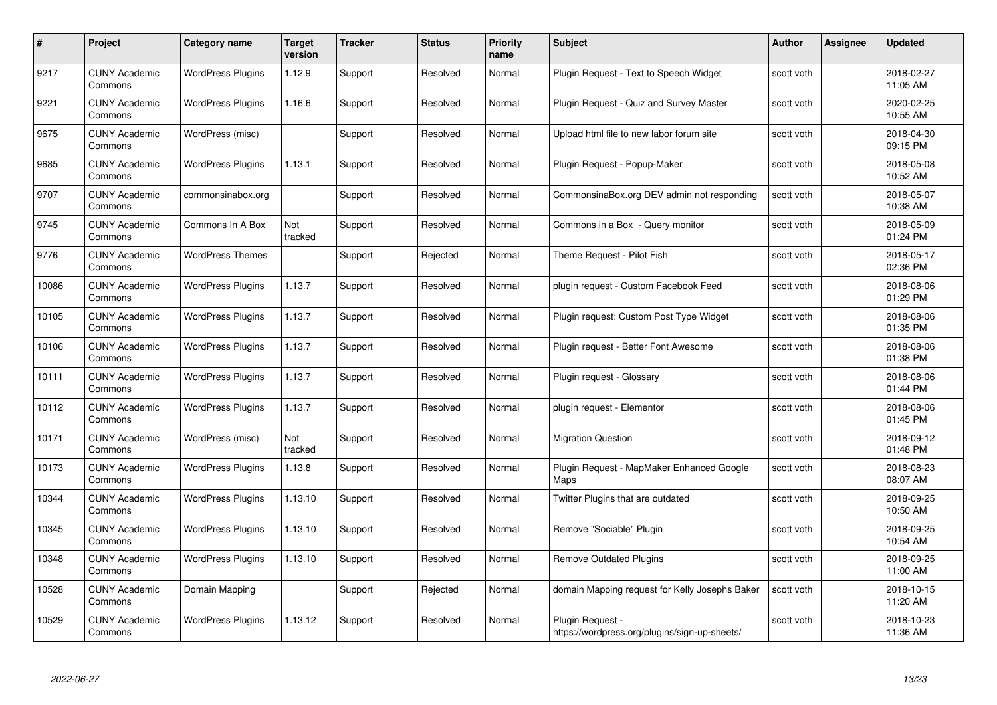| #     | Project                         | Category name            | <b>Target</b><br>version | <b>Tracker</b> | <b>Status</b> | <b>Priority</b><br>name | <b>Subject</b>                                                    | Author     | <b>Assignee</b> | <b>Updated</b>         |
|-------|---------------------------------|--------------------------|--------------------------|----------------|---------------|-------------------------|-------------------------------------------------------------------|------------|-----------------|------------------------|
| 9217  | <b>CUNY Academic</b><br>Commons | <b>WordPress Plugins</b> | 1.12.9                   | Support        | Resolved      | Normal                  | Plugin Request - Text to Speech Widget                            | scott voth |                 | 2018-02-27<br>11:05 AM |
| 9221  | <b>CUNY Academic</b><br>Commons | <b>WordPress Plugins</b> | 1.16.6                   | Support        | Resolved      | Normal                  | Plugin Request - Quiz and Survey Master                           | scott voth |                 | 2020-02-25<br>10:55 AM |
| 9675  | <b>CUNY Academic</b><br>Commons | WordPress (misc)         |                          | Support        | Resolved      | Normal                  | Upload html file to new labor forum site                          | scott voth |                 | 2018-04-30<br>09:15 PM |
| 9685  | <b>CUNY Academic</b><br>Commons | <b>WordPress Plugins</b> | 1.13.1                   | Support        | Resolved      | Normal                  | Plugin Request - Popup-Maker                                      | scott voth |                 | 2018-05-08<br>10:52 AM |
| 9707  | <b>CUNY Academic</b><br>Commons | commonsinabox.org        |                          | Support        | Resolved      | Normal                  | CommonsinaBox.org DEV admin not responding                        | scott voth |                 | 2018-05-07<br>10:38 AM |
| 9745  | <b>CUNY Academic</b><br>Commons | Commons In A Box         | Not<br>tracked           | Support        | Resolved      | Normal                  | Commons in a Box - Query monitor                                  | scott voth |                 | 2018-05-09<br>01:24 PM |
| 9776  | <b>CUNY Academic</b><br>Commons | <b>WordPress Themes</b>  |                          | Support        | Rejected      | Normal                  | Theme Request - Pilot Fish                                        | scott voth |                 | 2018-05-17<br>02:36 PM |
| 10086 | <b>CUNY Academic</b><br>Commons | <b>WordPress Plugins</b> | 1.13.7                   | Support        | Resolved      | Normal                  | plugin request - Custom Facebook Feed                             | scott voth |                 | 2018-08-06<br>01:29 PM |
| 10105 | <b>CUNY Academic</b><br>Commons | <b>WordPress Plugins</b> | 1.13.7                   | Support        | Resolved      | Normal                  | Plugin request: Custom Post Type Widget                           | scott voth |                 | 2018-08-06<br>01:35 PM |
| 10106 | <b>CUNY Academic</b><br>Commons | <b>WordPress Plugins</b> | 1.13.7                   | Support        | Resolved      | Normal                  | Plugin request - Better Font Awesome                              | scott voth |                 | 2018-08-06<br>01:38 PM |
| 10111 | <b>CUNY Academic</b><br>Commons | <b>WordPress Plugins</b> | 1.13.7                   | Support        | Resolved      | Normal                  | Plugin request - Glossary                                         | scott voth |                 | 2018-08-06<br>01:44 PM |
| 10112 | <b>CUNY Academic</b><br>Commons | <b>WordPress Plugins</b> | 1.13.7                   | Support        | Resolved      | Normal                  | plugin request - Elementor                                        | scott voth |                 | 2018-08-06<br>01:45 PM |
| 10171 | <b>CUNY Academic</b><br>Commons | WordPress (misc)         | Not<br>tracked           | Support        | Resolved      | Normal                  | <b>Migration Question</b>                                         | scott voth |                 | 2018-09-12<br>01:48 PM |
| 10173 | <b>CUNY Academic</b><br>Commons | <b>WordPress Plugins</b> | 1.13.8                   | Support        | Resolved      | Normal                  | Plugin Request - MapMaker Enhanced Google<br>Maps                 | scott voth |                 | 2018-08-23<br>08:07 AM |
| 10344 | <b>CUNY Academic</b><br>Commons | <b>WordPress Plugins</b> | 1.13.10                  | Support        | Resolved      | Normal                  | Twitter Plugins that are outdated                                 | scott voth |                 | 2018-09-25<br>10:50 AM |
| 10345 | <b>CUNY Academic</b><br>Commons | <b>WordPress Plugins</b> | 1.13.10                  | Support        | Resolved      | Normal                  | Remove "Sociable" Plugin                                          | scott voth |                 | 2018-09-25<br>10:54 AM |
| 10348 | <b>CUNY Academic</b><br>Commons | <b>WordPress Plugins</b> | 1.13.10                  | Support        | Resolved      | Normal                  | <b>Remove Outdated Plugins</b>                                    | scott voth |                 | 2018-09-25<br>11:00 AM |
| 10528 | <b>CUNY Academic</b><br>Commons | Domain Mapping           |                          | Support        | Rejected      | Normal                  | domain Mapping request for Kelly Josephs Baker                    | scott voth |                 | 2018-10-15<br>11:20 AM |
| 10529 | CUNY Academic<br>Commons        | <b>WordPress Plugins</b> | 1.13.12                  | Support        | Resolved      | Normal                  | Plugin Request -<br>https://wordpress.org/plugins/sign-up-sheets/ | scott voth |                 | 2018-10-23<br>11:36 AM |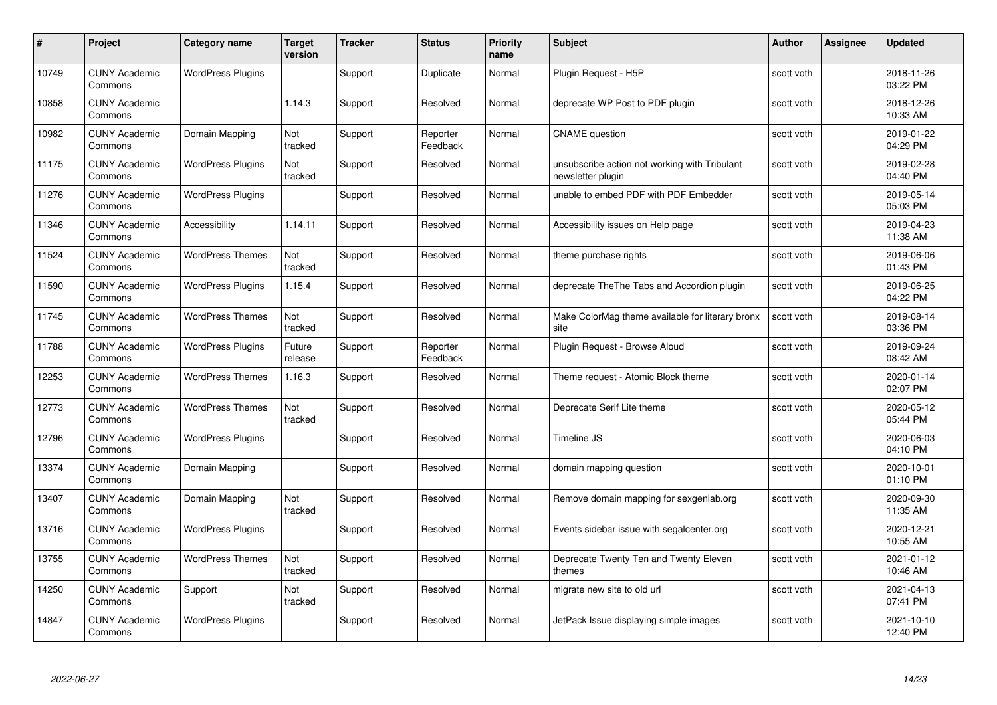| #     | Project                         | <b>Category name</b>     | Target<br>version | <b>Tracker</b> | <b>Status</b>        | <b>Priority</b><br>name | <b>Subject</b>                                                     | <b>Author</b> | <b>Assignee</b> | <b>Updated</b>         |
|-------|---------------------------------|--------------------------|-------------------|----------------|----------------------|-------------------------|--------------------------------------------------------------------|---------------|-----------------|------------------------|
| 10749 | <b>CUNY Academic</b><br>Commons | <b>WordPress Plugins</b> |                   | Support        | Duplicate            | Normal                  | Plugin Request - H5P                                               | scott voth    |                 | 2018-11-26<br>03:22 PM |
| 10858 | <b>CUNY Academic</b><br>Commons |                          | 1.14.3            | Support        | Resolved             | Normal                  | deprecate WP Post to PDF plugin                                    | scott voth    |                 | 2018-12-26<br>10:33 AM |
| 10982 | <b>CUNY Academic</b><br>Commons | Domain Mapping           | Not<br>tracked    | Support        | Reporter<br>Feedback | Normal                  | <b>CNAME</b> question                                              | scott voth    |                 | 2019-01-22<br>04:29 PM |
| 11175 | <b>CUNY Academic</b><br>Commons | <b>WordPress Plugins</b> | Not<br>tracked    | Support        | Resolved             | Normal                  | unsubscribe action not working with Tribulant<br>newsletter plugin | scott voth    |                 | 2019-02-28<br>04:40 PM |
| 11276 | <b>CUNY Academic</b><br>Commons | <b>WordPress Plugins</b> |                   | Support        | Resolved             | Normal                  | unable to embed PDF with PDF Embedder                              | scott voth    |                 | 2019-05-14<br>05:03 PM |
| 11346 | <b>CUNY Academic</b><br>Commons | Accessibility            | 1.14.11           | Support        | Resolved             | Normal                  | Accessibility issues on Help page                                  | scott voth    |                 | 2019-04-23<br>11:38 AM |
| 11524 | <b>CUNY Academic</b><br>Commons | <b>WordPress Themes</b>  | Not<br>tracked    | Support        | Resolved             | Normal                  | theme purchase rights                                              | scott voth    |                 | 2019-06-06<br>01:43 PM |
| 11590 | <b>CUNY Academic</b><br>Commons | <b>WordPress Plugins</b> | 1.15.4            | Support        | Resolved             | Normal                  | deprecate The The Tabs and Accordion plugin                        | scott voth    |                 | 2019-06-25<br>04:22 PM |
| 11745 | <b>CUNY Academic</b><br>Commons | <b>WordPress Themes</b>  | Not<br>tracked    | Support        | Resolved             | Normal                  | Make ColorMag theme available for literary bronx<br>site           | scott voth    |                 | 2019-08-14<br>03:36 PM |
| 11788 | <b>CUNY Academic</b><br>Commons | <b>WordPress Plugins</b> | Future<br>release | Support        | Reporter<br>Feedback | Normal                  | Plugin Request - Browse Aloud                                      | scott voth    |                 | 2019-09-24<br>08:42 AM |
| 12253 | CUNY Academic<br>Commons        | <b>WordPress Themes</b>  | 1.16.3            | Support        | Resolved             | Normal                  | Theme request - Atomic Block theme                                 | scott voth    |                 | 2020-01-14<br>02:07 PM |
| 12773 | <b>CUNY Academic</b><br>Commons | <b>WordPress Themes</b>  | Not<br>tracked    | Support        | Resolved             | Normal                  | Deprecate Serif Lite theme                                         | scott voth    |                 | 2020-05-12<br>05:44 PM |
| 12796 | <b>CUNY Academic</b><br>Commons | <b>WordPress Plugins</b> |                   | Support        | Resolved             | Normal                  | Timeline JS                                                        | scott voth    |                 | 2020-06-03<br>04:10 PM |
| 13374 | <b>CUNY Academic</b><br>Commons | Domain Mapping           |                   | Support        | Resolved             | Normal                  | domain mapping question                                            | scott voth    |                 | 2020-10-01<br>01:10 PM |
| 13407 | <b>CUNY Academic</b><br>Commons | Domain Mapping           | Not<br>tracked    | Support        | Resolved             | Normal                  | Remove domain mapping for sexgenlab.org                            | scott voth    |                 | 2020-09-30<br>11:35 AM |
| 13716 | <b>CUNY Academic</b><br>Commons | <b>WordPress Plugins</b> |                   | Support        | Resolved             | Normal                  | Events sidebar issue with segalcenter.org                          | scott voth    |                 | 2020-12-21<br>10:55 AM |
| 13755 | <b>CUNY Academic</b><br>Commons | <b>WordPress Themes</b>  | Not<br>tracked    | Support        | Resolved             | Normal                  | Deprecate Twenty Ten and Twenty Eleven<br>themes                   | scott voth    |                 | 2021-01-12<br>10:46 AM |
| 14250 | <b>CUNY Academic</b><br>Commons | Support                  | Not<br>tracked    | Support        | Resolved             | Normal                  | migrate new site to old url                                        | scott voth    |                 | 2021-04-13<br>07:41 PM |
| 14847 | CUNY Academic<br>Commons        | <b>WordPress Plugins</b> |                   | Support        | Resolved             | Normal                  | JetPack Issue displaying simple images                             | scott voth    |                 | 2021-10-10<br>12:40 PM |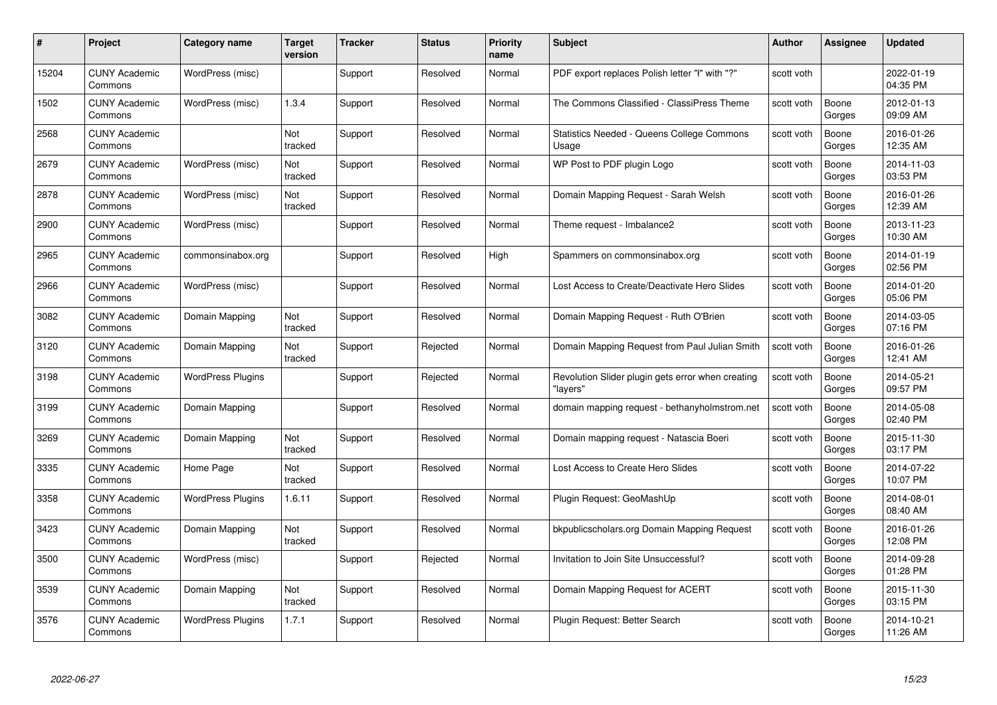| #     | Project                         | <b>Category name</b>     | Target<br>version | <b>Tracker</b> | <b>Status</b> | <b>Priority</b><br>name | <b>Subject</b>                                                | <b>Author</b> | <b>Assignee</b> | <b>Updated</b>         |
|-------|---------------------------------|--------------------------|-------------------|----------------|---------------|-------------------------|---------------------------------------------------------------|---------------|-----------------|------------------------|
| 15204 | <b>CUNY Academic</b><br>Commons | WordPress (misc)         |                   | Support        | Resolved      | Normal                  | PDF export replaces Polish letter "ł" with "?"                | scott voth    |                 | 2022-01-19<br>04:35 PM |
| 1502  | <b>CUNY Academic</b><br>Commons | WordPress (misc)         | 1.3.4             | Support        | Resolved      | Normal                  | The Commons Classified - ClassiPress Theme                    | scott voth    | Boone<br>Gorges | 2012-01-13<br>09:09 AM |
| 2568  | <b>CUNY Academic</b><br>Commons |                          | Not<br>tracked    | Support        | Resolved      | Normal                  | Statistics Needed - Queens College Commons<br>Usage           | scott voth    | Boone<br>Gorges | 2016-01-26<br>12:35 AM |
| 2679  | <b>CUNY Academic</b><br>Commons | WordPress (misc)         | Not<br>tracked    | Support        | Resolved      | Normal                  | WP Post to PDF plugin Logo                                    | scott voth    | Boone<br>Gorges | 2014-11-03<br>03:53 PM |
| 2878  | CUNY Academic<br>Commons        | WordPress (misc)         | Not<br>tracked    | Support        | Resolved      | Normal                  | Domain Mapping Request - Sarah Welsh                          | scott voth    | Boone<br>Gorges | 2016-01-26<br>12:39 AM |
| 2900  | <b>CUNY Academic</b><br>Commons | WordPress (misc)         |                   | Support        | Resolved      | Normal                  | Theme request - Imbalance2                                    | scott voth    | Boone<br>Gorges | 2013-11-23<br>10:30 AM |
| 2965  | <b>CUNY Academic</b><br>Commons | commonsinabox.org        |                   | Support        | Resolved      | High                    | Spammers on commonsinabox.org                                 | scott voth    | Boone<br>Gorges | 2014-01-19<br>02:56 PM |
| 2966  | <b>CUNY Academic</b><br>Commons | WordPress (misc)         |                   | Support        | Resolved      | Normal                  | Lost Access to Create/Deactivate Hero Slides                  | scott voth    | Boone<br>Gorges | 2014-01-20<br>05:06 PM |
| 3082  | <b>CUNY Academic</b><br>Commons | Domain Mapping           | Not<br>tracked    | Support        | Resolved      | Normal                  | Domain Mapping Request - Ruth O'Brien                         | scott voth    | Boone<br>Gorges | 2014-03-05<br>07:16 PM |
| 3120  | <b>CUNY Academic</b><br>Commons | Domain Mapping           | Not<br>tracked    | Support        | Rejected      | Normal                  | Domain Mapping Request from Paul Julian Smith                 | scott voth    | Boone<br>Gorges | 2016-01-26<br>12:41 AM |
| 3198  | CUNY Academic<br>Commons        | <b>WordPress Plugins</b> |                   | Support        | Rejected      | Normal                  | Revolution Slider plugin gets error when creating<br>"lavers" | scott voth    | Boone<br>Gorges | 2014-05-21<br>09:57 PM |
| 3199  | <b>CUNY Academic</b><br>Commons | Domain Mapping           |                   | Support        | Resolved      | Normal                  | domain mapping request - bethanyholmstrom.net                 | scott voth    | Boone<br>Gorges | 2014-05-08<br>02:40 PM |
| 3269  | <b>CUNY Academic</b><br>Commons | Domain Mapping           | Not<br>tracked    | Support        | Resolved      | Normal                  | Domain mapping request - Natascia Boeri                       | scott voth    | Boone<br>Gorges | 2015-11-30<br>03:17 PM |
| 3335  | <b>CUNY Academic</b><br>Commons | Home Page                | Not<br>tracked    | Support        | Resolved      | Normal                  | Lost Access to Create Hero Slides                             | scott voth    | Boone<br>Gorges | 2014-07-22<br>10:07 PM |
| 3358  | <b>CUNY Academic</b><br>Commons | <b>WordPress Plugins</b> | 1.6.11            | Support        | Resolved      | Normal                  | Plugin Request: GeoMashUp                                     | scott voth    | Boone<br>Gorges | 2014-08-01<br>08:40 AM |
| 3423  | <b>CUNY Academic</b><br>Commons | Domain Mapping           | Not<br>tracked    | Support        | Resolved      | Normal                  | bkpublicscholars.org Domain Mapping Request                   | scott voth    | Boone<br>Gorges | 2016-01-26<br>12:08 PM |
| 3500  | <b>CUNY Academic</b><br>Commons | WordPress (misc)         |                   | Support        | Rejected      | Normal                  | Invitation to Join Site Unsuccessful?                         | scott voth    | Boone<br>Gorges | 2014-09-28<br>01:28 PM |
| 3539  | <b>CUNY Academic</b><br>Commons | Domain Mapping           | Not<br>tracked    | Support        | Resolved      | Normal                  | Domain Mapping Request for ACERT                              | scott voth    | Boone<br>Gorges | 2015-11-30<br>03:15 PM |
| 3576  | CUNY Academic<br>Commons        | <b>WordPress Plugins</b> | 1.7.1             | Support        | Resolved      | Normal                  | Plugin Request: Better Search                                 | scott voth    | Boone<br>Gorges | 2014-10-21<br>11:26 AM |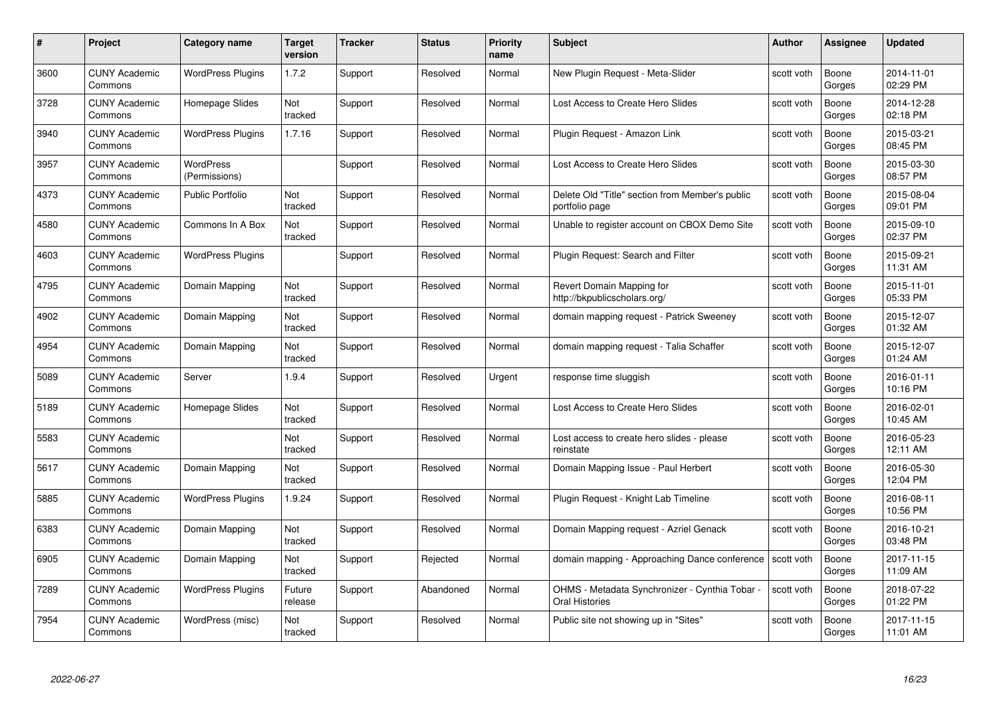| #    | Project                         | <b>Category name</b>       | Target<br>version | <b>Tracker</b> | <b>Status</b> | <b>Priority</b><br>name | <b>Subject</b>                                                        | <b>Author</b> | <b>Assignee</b> | <b>Updated</b>         |
|------|---------------------------------|----------------------------|-------------------|----------------|---------------|-------------------------|-----------------------------------------------------------------------|---------------|-----------------|------------------------|
| 3600 | <b>CUNY Academic</b><br>Commons | <b>WordPress Plugins</b>   | 1.7.2             | Support        | Resolved      | Normal                  | New Plugin Request - Meta-Slider                                      | scott voth    | Boone<br>Gorges | 2014-11-01<br>02:29 PM |
| 3728 | <b>CUNY Academic</b><br>Commons | Homepage Slides            | Not<br>tracked    | Support        | Resolved      | Normal                  | Lost Access to Create Hero Slides                                     | scott voth    | Boone<br>Gorges | 2014-12-28<br>02:18 PM |
| 3940 | <b>CUNY Academic</b><br>Commons | <b>WordPress Plugins</b>   | 1.7.16            | Support        | Resolved      | Normal                  | Plugin Request - Amazon Link                                          | scott voth    | Boone<br>Gorges | 2015-03-21<br>08:45 PM |
| 3957 | <b>CUNY Academic</b><br>Commons | WordPress<br>(Permissions) |                   | Support        | Resolved      | Normal                  | Lost Access to Create Hero Slides                                     | scott voth    | Boone<br>Gorges | 2015-03-30<br>08:57 PM |
| 4373 | CUNY Academic<br>Commons        | <b>Public Portfolio</b>    | Not<br>tracked    | Support        | Resolved      | Normal                  | Delete Old "Title" section from Member's public<br>portfolio page     | scott voth    | Boone<br>Gorges | 2015-08-04<br>09:01 PM |
| 4580 | <b>CUNY Academic</b><br>Commons | Commons In A Box           | Not<br>tracked    | Support        | Resolved      | Normal                  | Unable to register account on CBOX Demo Site                          | scott voth    | Boone<br>Gorges | 2015-09-10<br>02:37 PM |
| 4603 | <b>CUNY Academic</b><br>Commons | <b>WordPress Plugins</b>   |                   | Support        | Resolved      | Normal                  | Plugin Request: Search and Filter                                     | scott voth    | Boone<br>Gorges | 2015-09-21<br>11:31 AM |
| 4795 | <b>CUNY Academic</b><br>Commons | Domain Mapping             | Not<br>tracked    | Support        | Resolved      | Normal                  | Revert Domain Mapping for<br>http://bkpublicscholars.org/             | scott voth    | Boone<br>Gorges | 2015-11-01<br>05:33 PM |
| 4902 | <b>CUNY Academic</b><br>Commons | Domain Mapping             | Not<br>tracked    | Support        | Resolved      | Normal                  | domain mapping request - Patrick Sweeney                              | scott voth    | Boone<br>Gorges | 2015-12-07<br>01:32 AM |
| 4954 | <b>CUNY Academic</b><br>Commons | Domain Mapping             | Not<br>tracked    | Support        | Resolved      | Normal                  | domain mapping request - Talia Schaffer                               | scott voth    | Boone<br>Gorges | 2015-12-07<br>01:24 AM |
| 5089 | CUNY Academic<br>Commons        | Server                     | 1.9.4             | Support        | Resolved      | Urgent                  | response time sluggish                                                | scott voth    | Boone<br>Gorges | 2016-01-11<br>10:16 PM |
| 5189 | <b>CUNY Academic</b><br>Commons | Homepage Slides            | Not<br>tracked    | Support        | Resolved      | Normal                  | Lost Access to Create Hero Slides                                     | scott voth    | Boone<br>Gorges | 2016-02-01<br>10:45 AM |
| 5583 | <b>CUNY Academic</b><br>Commons |                            | Not<br>tracked    | Support        | Resolved      | Normal                  | Lost access to create hero slides - please<br>reinstate               | scott voth    | Boone<br>Gorges | 2016-05-23<br>12:11 AM |
| 5617 | <b>CUNY Academic</b><br>Commons | Domain Mapping             | Not<br>tracked    | Support        | Resolved      | Normal                  | Domain Mapping Issue - Paul Herbert                                   | scott voth    | Boone<br>Gorges | 2016-05-30<br>12:04 PM |
| 5885 | <b>CUNY Academic</b><br>Commons | <b>WordPress Plugins</b>   | 1.9.24            | Support        | Resolved      | Normal                  | Plugin Request - Knight Lab Timeline                                  | scott voth    | Boone<br>Gorges | 2016-08-11<br>10:56 PM |
| 6383 | <b>CUNY Academic</b><br>Commons | Domain Mapping             | Not<br>tracked    | Support        | Resolved      | Normal                  | Domain Mapping request - Azriel Genack                                | scott voth    | Boone<br>Gorges | 2016-10-21<br>03:48 PM |
| 6905 | <b>CUNY Academic</b><br>Commons | Domain Mapping             | Not<br>tracked    | Support        | Rejected      | Normal                  | domain mapping - Approaching Dance conference                         | scott voth    | Boone<br>Gorges | 2017-11-15<br>11:09 AM |
| 7289 | <b>CUNY Academic</b><br>Commons | <b>WordPress Plugins</b>   | Future<br>release | Support        | Abandoned     | Normal                  | OHMS - Metadata Synchronizer - Cynthia Tobar<br><b>Oral Histories</b> | scott voth    | Boone<br>Gorges | 2018-07-22<br>01:22 PM |
| 7954 | CUNY Academic<br>Commons        | WordPress (misc)           | Not<br>tracked    | Support        | Resolved      | Normal                  | Public site not showing up in "Sites"                                 | scott voth    | Boone<br>Gorges | 2017-11-15<br>11:01 AM |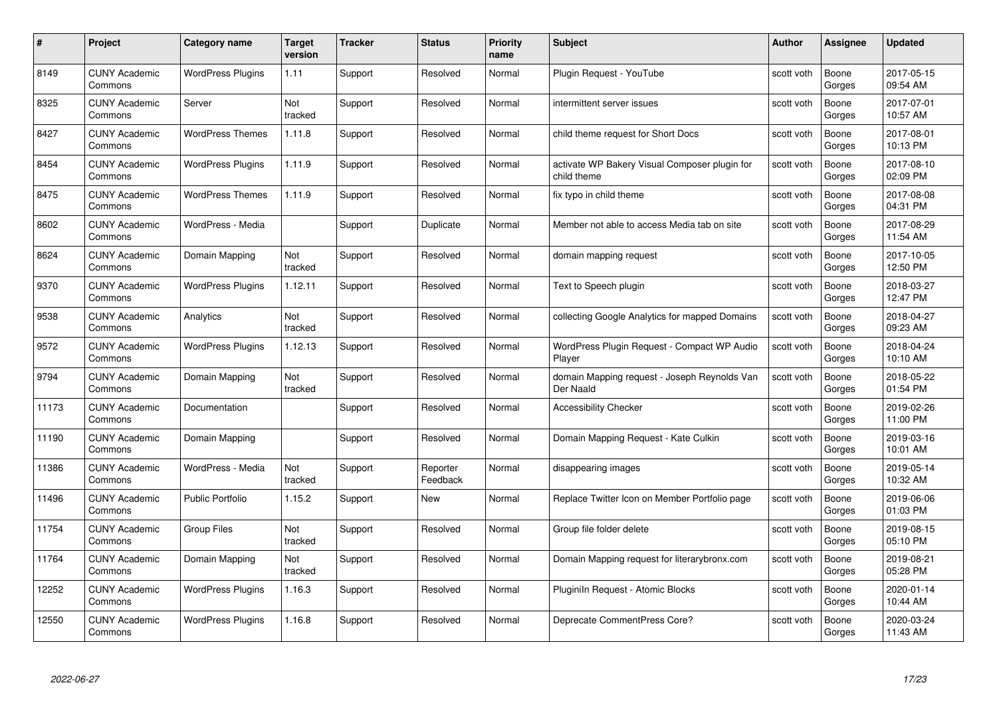| #     | Project                         | <b>Category name</b>     | Target<br>version | <b>Tracker</b> | <b>Status</b>        | <b>Priority</b><br>name | <b>Subject</b>                                               | <b>Author</b> | <b>Assignee</b> | <b>Updated</b>         |
|-------|---------------------------------|--------------------------|-------------------|----------------|----------------------|-------------------------|--------------------------------------------------------------|---------------|-----------------|------------------------|
| 8149  | <b>CUNY Academic</b><br>Commons | <b>WordPress Plugins</b> | 1.11              | Support        | Resolved             | Normal                  | Plugin Reguest - YouTube                                     | scott voth    | Boone<br>Gorges | 2017-05-15<br>09:54 AM |
| 8325  | <b>CUNY Academic</b><br>Commons | Server                   | Not<br>tracked    | Support        | Resolved             | Normal                  | intermittent server issues                                   | scott voth    | Boone<br>Gorges | 2017-07-01<br>10:57 AM |
| 8427  | <b>CUNY Academic</b><br>Commons | <b>WordPress Themes</b>  | 1.11.8            | Support        | Resolved             | Normal                  | child theme request for Short Docs                           | scott voth    | Boone<br>Gorges | 2017-08-01<br>10:13 PM |
| 8454  | <b>CUNY Academic</b><br>Commons | <b>WordPress Plugins</b> | 1.11.9            | Support        | Resolved             | Normal                  | activate WP Bakery Visual Composer plugin for<br>child theme | scott voth    | Boone<br>Gorges | 2017-08-10<br>02:09 PM |
| 8475  | CUNY Academic<br>Commons        | <b>WordPress Themes</b>  | 1.11.9            | Support        | Resolved             | Normal                  | fix typo in child theme                                      | scott voth    | Boone<br>Gorges | 2017-08-08<br>04:31 PM |
| 8602  | <b>CUNY Academic</b><br>Commons | WordPress - Media        |                   | Support        | Duplicate            | Normal                  | Member not able to access Media tab on site                  | scott voth    | Boone<br>Gorges | 2017-08-29<br>11:54 AM |
| 8624  | <b>CUNY Academic</b><br>Commons | Domain Mapping           | Not<br>tracked    | Support        | Resolved             | Normal                  | domain mapping request                                       | scott voth    | Boone<br>Gorges | 2017-10-05<br>12:50 PM |
| 9370  | <b>CUNY Academic</b><br>Commons | <b>WordPress Plugins</b> | 1.12.11           | Support        | Resolved             | Normal                  | Text to Speech plugin                                        | scott voth    | Boone<br>Gorges | 2018-03-27<br>12:47 PM |
| 9538  | <b>CUNY Academic</b><br>Commons | Analytics                | Not<br>tracked    | Support        | Resolved             | Normal                  | collecting Google Analytics for mapped Domains               | scott voth    | Boone<br>Gorges | 2018-04-27<br>09:23 AM |
| 9572  | <b>CUNY Academic</b><br>Commons | <b>WordPress Plugins</b> | 1.12.13           | Support        | Resolved             | Normal                  | WordPress Plugin Request - Compact WP Audio<br>Player        | scott voth    | Boone<br>Gorges | 2018-04-24<br>10:10 AM |
| 9794  | CUNY Academic<br>Commons        | Domain Mapping           | Not<br>tracked    | Support        | Resolved             | Normal                  | domain Mapping request - Joseph Reynolds Van<br>Der Naald    | scott voth    | Boone<br>Gorges | 2018-05-22<br>01:54 PM |
| 11173 | <b>CUNY Academic</b><br>Commons | Documentation            |                   | Support        | Resolved             | Normal                  | <b>Accessibility Checker</b>                                 | scott voth    | Boone<br>Gorges | 2019-02-26<br>11:00 PM |
| 11190 | <b>CUNY Academic</b><br>Commons | Domain Mapping           |                   | Support        | Resolved             | Normal                  | Domain Mapping Request - Kate Culkin                         | scott voth    | Boone<br>Gorges | 2019-03-16<br>10:01 AM |
| 11386 | <b>CUNY Academic</b><br>Commons | WordPress - Media        | Not<br>tracked    | Support        | Reporter<br>Feedback | Normal                  | disappearing images                                          | scott voth    | Boone<br>Gorges | 2019-05-14<br>10:32 AM |
| 11496 | <b>CUNY Academic</b><br>Commons | <b>Public Portfolio</b>  | 1.15.2            | Support        | New                  | Normal                  | Replace Twitter Icon on Member Portfolio page                | scott voth    | Boone<br>Gorges | 2019-06-06<br>01:03 PM |
| 11754 | <b>CUNY Academic</b><br>Commons | <b>Group Files</b>       | Not<br>tracked    | Support        | Resolved             | Normal                  | Group file folder delete                                     | scott voth    | Boone<br>Gorges | 2019-08-15<br>05:10 PM |
| 11764 | <b>CUNY Academic</b><br>Commons | Domain Mapping           | Not<br>tracked    | Support        | Resolved             | Normal                  | Domain Mapping request for literarybronx.com                 | scott voth    | Boone<br>Gorges | 2019-08-21<br>05:28 PM |
| 12252 | <b>CUNY Academic</b><br>Commons | <b>WordPress Plugins</b> | 1.16.3            | Support        | Resolved             | Normal                  | Pluginiln Request - Atomic Blocks                            | scott voth    | Boone<br>Gorges | 2020-01-14<br>10:44 AM |
| 12550 | CUNY Academic<br>Commons        | <b>WordPress Plugins</b> | 1.16.8            | Support        | Resolved             | Normal                  | Deprecate CommentPress Core?                                 | scott voth    | Boone<br>Gorges | 2020-03-24<br>11:43 AM |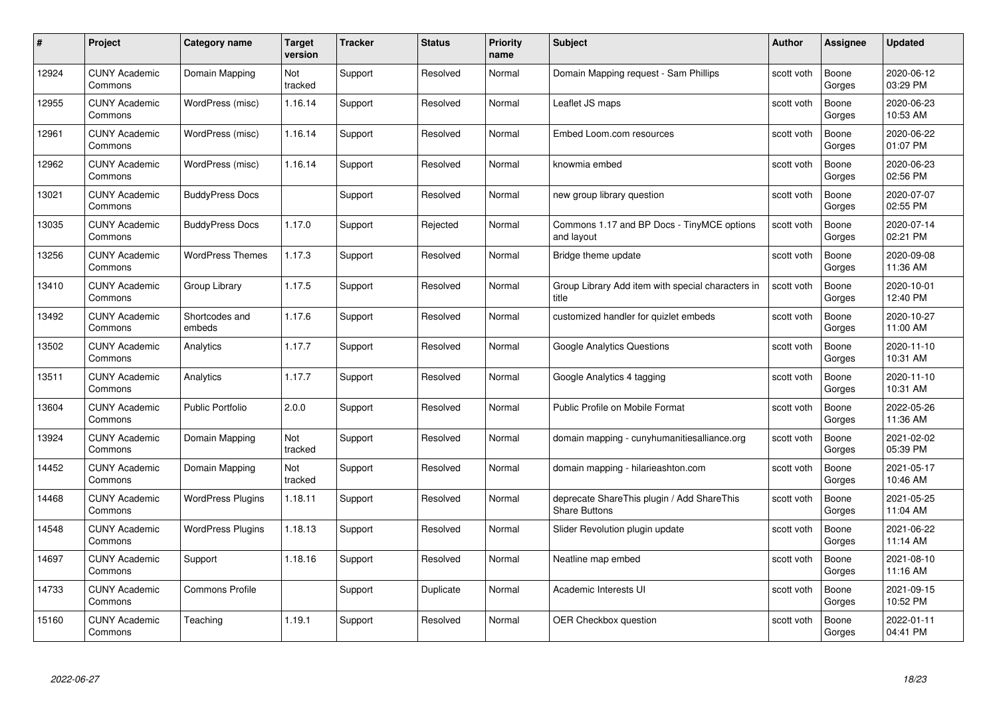| #     | Project                         | <b>Category name</b>     | Target<br>version | <b>Tracker</b> | <b>Status</b> | <b>Priority</b><br>name | <b>Subject</b>                                                     | <b>Author</b> | <b>Assignee</b> | <b>Updated</b>         |
|-------|---------------------------------|--------------------------|-------------------|----------------|---------------|-------------------------|--------------------------------------------------------------------|---------------|-----------------|------------------------|
| 12924 | <b>CUNY Academic</b><br>Commons | Domain Mapping           | Not<br>tracked    | Support        | Resolved      | Normal                  | Domain Mapping request - Sam Phillips                              | scott voth    | Boone<br>Gorges | 2020-06-12<br>03:29 PM |
| 12955 | <b>CUNY Academic</b><br>Commons | WordPress (misc)         | 1.16.14           | Support        | Resolved      | Normal                  | Leaflet JS maps                                                    | scott voth    | Boone<br>Gorges | 2020-06-23<br>10:53 AM |
| 12961 | <b>CUNY Academic</b><br>Commons | WordPress (misc)         | 1.16.14           | Support        | Resolved      | Normal                  | Embed Loom.com resources                                           | scott voth    | Boone<br>Gorges | 2020-06-22<br>01:07 PM |
| 12962 | <b>CUNY Academic</b><br>Commons | WordPress (misc)         | 1.16.14           | Support        | Resolved      | Normal                  | knowmia embed                                                      | scott voth    | Boone<br>Gorges | 2020-06-23<br>02:56 PM |
| 13021 | <b>CUNY Academic</b><br>Commons | <b>BuddyPress Docs</b>   |                   | Support        | Resolved      | Normal                  | new group library question                                         | scott voth    | Boone<br>Gorges | 2020-07-07<br>02:55 PM |
| 13035 | <b>CUNY Academic</b><br>Commons | <b>BuddyPress Docs</b>   | 1.17.0            | Support        | Rejected      | Normal                  | Commons 1.17 and BP Docs - TinyMCE options<br>and layout           | scott voth    | Boone<br>Gorges | 2020-07-14<br>02:21 PM |
| 13256 | <b>CUNY Academic</b><br>Commons | <b>WordPress Themes</b>  | 1.17.3            | Support        | Resolved      | Normal                  | Bridge theme update                                                | scott voth    | Boone<br>Gorges | 2020-09-08<br>11:36 AM |
| 13410 | <b>CUNY Academic</b><br>Commons | Group Library            | 1.17.5            | Support        | Resolved      | Normal                  | Group Library Add item with special characters in<br>title         | scott voth    | Boone<br>Gorges | 2020-10-01<br>12:40 PM |
| 13492 | <b>CUNY Academic</b><br>Commons | Shortcodes and<br>embeds | 1.17.6            | Support        | Resolved      | Normal                  | customized handler for quizlet embeds                              | scott voth    | Boone<br>Gorges | 2020-10-27<br>11:00 AM |
| 13502 | <b>CUNY Academic</b><br>Commons | Analytics                | 1.17.7            | Support        | Resolved      | Normal                  | <b>Google Analytics Questions</b>                                  | scott voth    | Boone<br>Gorges | 2020-11-10<br>10:31 AM |
| 13511 | CUNY Academic<br>Commons        | Analytics                | 1.17.7            | Support        | Resolved      | Normal                  | Google Analytics 4 tagging                                         | scott voth    | Boone<br>Gorges | 2020-11-10<br>10:31 AM |
| 13604 | <b>CUNY Academic</b><br>Commons | <b>Public Portfolio</b>  | 2.0.0             | Support        | Resolved      | Normal                  | Public Profile on Mobile Format                                    | scott voth    | Boone<br>Gorges | 2022-05-26<br>11:36 AM |
| 13924 | <b>CUNY Academic</b><br>Commons | Domain Mapping           | Not<br>tracked    | Support        | Resolved      | Normal                  | domain mapping - cunyhumanitiesalliance.org                        | scott voth    | Boone<br>Gorges | 2021-02-02<br>05:39 PM |
| 14452 | <b>CUNY Academic</b><br>Commons | Domain Mapping           | Not<br>tracked    | Support        | Resolved      | Normal                  | domain mapping - hilarieashton.com                                 | scott voth    | Boone<br>Gorges | 2021-05-17<br>10:46 AM |
| 14468 | <b>CUNY Academic</b><br>Commons | <b>WordPress Plugins</b> | 1.18.11           | Support        | Resolved      | Normal                  | deprecate ShareThis plugin / Add ShareThis<br><b>Share Buttons</b> | scott voth    | Boone<br>Gorges | 2021-05-25<br>11:04 AM |
| 14548 | <b>CUNY Academic</b><br>Commons | <b>WordPress Plugins</b> | 1.18.13           | Support        | Resolved      | Normal                  | Slider Revolution plugin update                                    | scott voth    | Boone<br>Gorges | 2021-06-22<br>11:14 AM |
| 14697 | <b>CUNY Academic</b><br>Commons | Support                  | 1.18.16           | Support        | Resolved      | Normal                  | Neatline map embed                                                 | scott voth    | Boone<br>Gorges | 2021-08-10<br>11:16 AM |
| 14733 | <b>CUNY Academic</b><br>Commons | <b>Commons Profile</b>   |                   | Support        | Duplicate     | Normal                  | Academic Interests UI                                              | scott voth    | Boone<br>Gorges | 2021-09-15<br>10:52 PM |
| 15160 | CUNY Academic<br>Commons        | Teaching                 | 1.19.1            | Support        | Resolved      | Normal                  | OER Checkbox question                                              | scott voth    | Boone<br>Gorges | 2022-01-11<br>04:41 PM |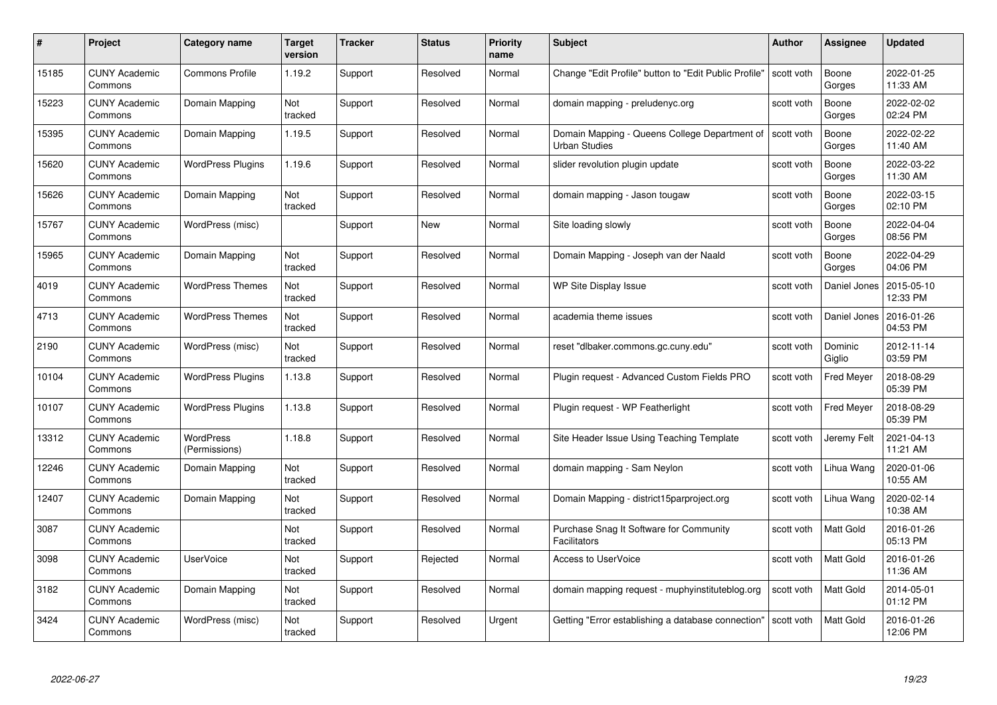| #     | Project                         | <b>Category name</b>       | Target<br>version | <b>Tracker</b> | <b>Status</b> | <b>Priority</b><br>name | <b>Subject</b>                                                        | <b>Author</b> | <b>Assignee</b>   | <b>Updated</b>         |
|-------|---------------------------------|----------------------------|-------------------|----------------|---------------|-------------------------|-----------------------------------------------------------------------|---------------|-------------------|------------------------|
| 15185 | <b>CUNY Academic</b><br>Commons | <b>Commons Profile</b>     | 1.19.2            | Support        | Resolved      | Normal                  | Change "Edit Profile" button to "Edit Public Profile"                 | scott voth    | Boone<br>Gorges   | 2022-01-25<br>11:33 AM |
| 15223 | <b>CUNY Academic</b><br>Commons | Domain Mapping             | Not<br>tracked    | Support        | Resolved      | Normal                  | domain mapping - preludenyc.org                                       | scott voth    | Boone<br>Gorges   | 2022-02-02<br>02:24 PM |
| 15395 | <b>CUNY Academic</b><br>Commons | Domain Mapping             | 1.19.5            | Support        | Resolved      | Normal                  | Domain Mapping - Queens College Department of<br><b>Urban Studies</b> | scott voth    | Boone<br>Gorges   | 2022-02-22<br>11:40 AM |
| 15620 | <b>CUNY Academic</b><br>Commons | <b>WordPress Plugins</b>   | 1.19.6            | Support        | Resolved      | Normal                  | slider revolution plugin update                                       | scott voth    | Boone<br>Gorges   | 2022-03-22<br>11:30 AM |
| 15626 | CUNY Academic<br>Commons        | Domain Mapping             | Not<br>tracked    | Support        | Resolved      | Normal                  | domain mapping - Jason tougaw                                         | scott voth    | Boone<br>Gorges   | 2022-03-15<br>02:10 PM |
| 15767 | <b>CUNY Academic</b><br>Commons | WordPress (misc)           |                   | Support        | New           | Normal                  | Site loading slowly                                                   | scott voth    | Boone<br>Gorges   | 2022-04-04<br>08:56 PM |
| 15965 | <b>CUNY Academic</b><br>Commons | Domain Mapping             | Not<br>tracked    | Support        | Resolved      | Normal                  | Domain Mapping - Joseph van der Naald                                 | scott voth    | Boone<br>Gorges   | 2022-04-29<br>04:06 PM |
| 4019  | <b>CUNY Academic</b><br>Commons | <b>WordPress Themes</b>    | Not<br>tracked    | Support        | Resolved      | Normal                  | WP Site Display Issue                                                 | scott voth    | Daniel Jones      | 2015-05-10<br>12:33 PM |
| 4713  | <b>CUNY Academic</b><br>Commons | <b>WordPress Themes</b>    | Not<br>tracked    | Support        | Resolved      | Normal                  | academia theme issues                                                 | scott voth    | Daniel Jones      | 2016-01-26<br>04:53 PM |
| 2190  | <b>CUNY Academic</b><br>Commons | WordPress (misc)           | Not<br>tracked    | Support        | Resolved      | Normal                  | reset "dlbaker.commons.gc.cuny.edu"                                   | scott voth    | Dominic<br>Giglio | 2012-11-14<br>03:59 PM |
| 10104 | CUNY Academic<br>Commons        | <b>WordPress Plugins</b>   | 1.13.8            | Support        | Resolved      | Normal                  | Plugin request - Advanced Custom Fields PRO                           | scott voth    | <b>Fred Meyer</b> | 2018-08-29<br>05:39 PM |
| 10107 | <b>CUNY Academic</b><br>Commons | <b>WordPress Plugins</b>   | 1.13.8            | Support        | Resolved      | Normal                  | Plugin request - WP Featherlight                                      | scott voth    | <b>Fred Meyer</b> | 2018-08-29<br>05:39 PM |
| 13312 | <b>CUNY Academic</b><br>Commons | WordPress<br>(Permissions) | 1.18.8            | Support        | Resolved      | Normal                  | Site Header Issue Using Teaching Template                             | scott voth    | Jeremy Felt       | 2021-04-13<br>11:21 AM |
| 12246 | <b>CUNY Academic</b><br>Commons | Domain Mapping             | Not<br>tracked    | Support        | Resolved      | Normal                  | domain mapping - Sam Neylon                                           | scott voth    | Lihua Wang        | 2020-01-06<br>10:55 AM |
| 12407 | <b>CUNY Academic</b><br>Commons | Domain Mapping             | Not<br>tracked    | Support        | Resolved      | Normal                  | Domain Mapping - district15parproject.org                             | scott voth    | Lihua Wang        | 2020-02-14<br>10:38 AM |
| 3087  | <b>CUNY Academic</b><br>Commons |                            | Not<br>tracked    | Support        | Resolved      | Normal                  | Purchase Snag It Software for Community<br><b>Facilitators</b>        | scott voth    | Matt Gold         | 2016-01-26<br>05:13 PM |
| 3098  | <b>CUNY Academic</b><br>Commons | <b>UserVoice</b>           | Not<br>tracked    | Support        | Rejected      | Normal                  | <b>Access to UserVoice</b>                                            | scott voth    | Matt Gold         | 2016-01-26<br>11:36 AM |
| 3182  | <b>CUNY Academic</b><br>Commons | Domain Mapping             | Not<br>tracked    | Support        | Resolved      | Normal                  | domain mapping request - muphyinstituteblog.org                       | scott voth    | Matt Gold         | 2014-05-01<br>01:12 PM |
| 3424  | CUNY Academic<br>Commons        | WordPress (misc)           | Not<br>tracked    | Support        | Resolved      | Urgent                  | Getting "Error establishing a database connection"                    | scott voth    | <b>Matt Gold</b>  | 2016-01-26<br>12:06 PM |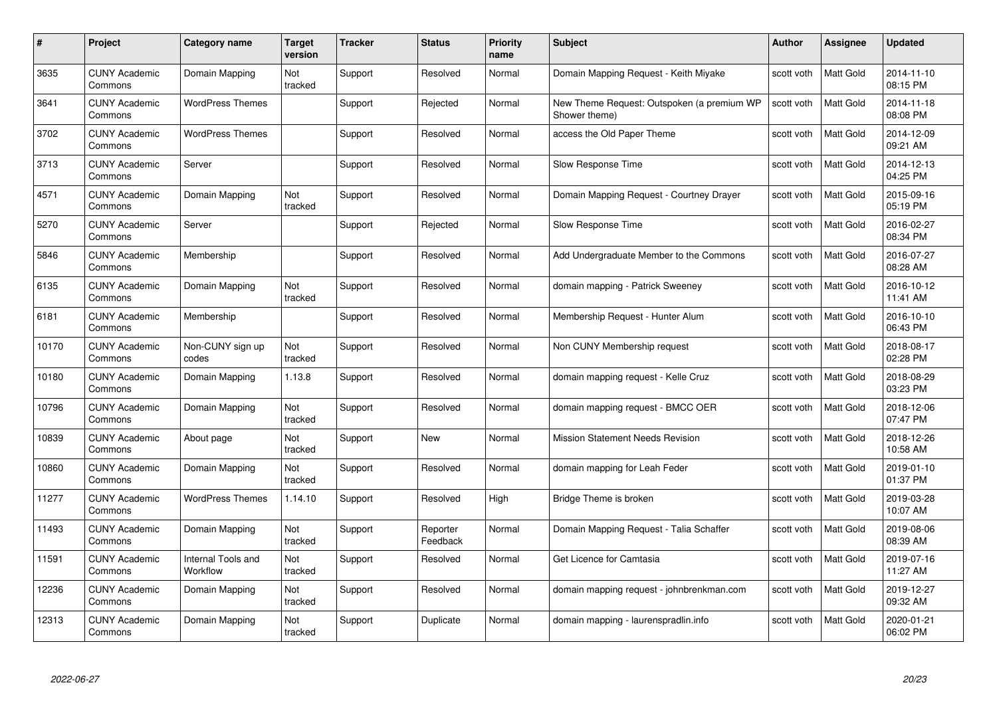| #     | Project                         | Category name                  | Target<br>version | <b>Tracker</b> | <b>Status</b>        | <b>Priority</b><br>name | <b>Subject</b>                                              | <b>Author</b> | <b>Assignee</b>  | <b>Updated</b>         |
|-------|---------------------------------|--------------------------------|-------------------|----------------|----------------------|-------------------------|-------------------------------------------------------------|---------------|------------------|------------------------|
| 3635  | <b>CUNY Academic</b><br>Commons | Domain Mapping                 | Not<br>tracked    | Support        | Resolved             | Normal                  | Domain Mapping Request - Keith Miyake                       | scott voth    | <b>Matt Gold</b> | 2014-11-10<br>08:15 PM |
| 3641  | <b>CUNY Academic</b><br>Commons | <b>WordPress Themes</b>        |                   | Support        | Rejected             | Normal                  | New Theme Request: Outspoken (a premium WP<br>Shower theme) | scott voth    | Matt Gold        | 2014-11-18<br>08:08 PM |
| 3702  | CUNY Academic<br>Commons        | <b>WordPress Themes</b>        |                   | Support        | Resolved             | Normal                  | access the Old Paper Theme                                  | scott voth    | Matt Gold        | 2014-12-09<br>09:21 AM |
| 3713  | <b>CUNY Academic</b><br>Commons | Server                         |                   | Support        | Resolved             | Normal                  | Slow Response Time                                          | scott voth    | Matt Gold        | 2014-12-13<br>04:25 PM |
| 4571  | <b>CUNY Academic</b><br>Commons | Domain Mapping                 | Not<br>tracked    | Support        | Resolved             | Normal                  | Domain Mapping Request - Courtney Drayer                    | scott voth    | <b>Matt Gold</b> | 2015-09-16<br>05:19 PM |
| 5270  | <b>CUNY Academic</b><br>Commons | Server                         |                   | Support        | Rejected             | Normal                  | Slow Response Time                                          | scott voth    | <b>Matt Gold</b> | 2016-02-27<br>08:34 PM |
| 5846  | <b>CUNY Academic</b><br>Commons | Membership                     |                   | Support        | Resolved             | Normal                  | Add Undergraduate Member to the Commons                     | scott voth    | Matt Gold        | 2016-07-27<br>08:28 AM |
| 6135  | <b>CUNY Academic</b><br>Commons | Domain Mapping                 | Not<br>tracked    | Support        | Resolved             | Normal                  | domain mapping - Patrick Sweeney                            | scott voth    | Matt Gold        | 2016-10-12<br>11:41 AM |
| 6181  | <b>CUNY Academic</b><br>Commons | Membership                     |                   | Support        | Resolved             | Normal                  | Membership Request - Hunter Alum                            | scott voth    | Matt Gold        | 2016-10-10<br>06:43 PM |
| 10170 | <b>CUNY Academic</b><br>Commons | Non-CUNY sign up<br>codes      | Not<br>tracked    | Support        | Resolved             | Normal                  | Non CUNY Membership request                                 | scott voth    | Matt Gold        | 2018-08-17<br>02:28 PM |
| 10180 | <b>CUNY Academic</b><br>Commons | Domain Mapping                 | 1.13.8            | Support        | Resolved             | Normal                  | domain mapping request - Kelle Cruz                         | scott voth    | Matt Gold        | 2018-08-29<br>03:23 PM |
| 10796 | <b>CUNY Academic</b><br>Commons | Domain Mapping                 | Not<br>tracked    | Support        | Resolved             | Normal                  | domain mapping request - BMCC OER                           | scott voth    | Matt Gold        | 2018-12-06<br>07:47 PM |
| 10839 | <b>CUNY Academic</b><br>Commons | About page                     | Not<br>tracked    | Support        | New                  | Normal                  | <b>Mission Statement Needs Revision</b>                     | scott voth    | <b>Matt Gold</b> | 2018-12-26<br>10:58 AM |
| 10860 | <b>CUNY Academic</b><br>Commons | Domain Mapping                 | Not<br>tracked    | Support        | Resolved             | Normal                  | domain mapping for Leah Feder                               | scott voth    | Matt Gold        | 2019-01-10<br>01:37 PM |
| 11277 | <b>CUNY Academic</b><br>Commons | <b>WordPress Themes</b>        | 1.14.10           | Support        | Resolved             | High                    | Bridge Theme is broken                                      | scott voth    | Matt Gold        | 2019-03-28<br>10:07 AM |
| 11493 | <b>CUNY Academic</b><br>Commons | Domain Mapping                 | Not<br>tracked    | Support        | Reporter<br>Feedback | Normal                  | Domain Mapping Request - Talia Schaffer                     | scott voth    | Matt Gold        | 2019-08-06<br>08:39 AM |
| 11591 | <b>CUNY Academic</b><br>Commons | Internal Tools and<br>Workflow | Not<br>tracked    | Support        | Resolved             | Normal                  | Get Licence for Camtasia                                    | scott voth    | <b>Matt Gold</b> | 2019-07-16<br>11:27 AM |
| 12236 | <b>CUNY Academic</b><br>Commons | Domain Mapping                 | Not<br>tracked    | Support        | Resolved             | Normal                  | domain mapping request - johnbrenkman.com                   | scott voth    | Matt Gold        | 2019-12-27<br>09:32 AM |
| 12313 | CUNY Academic<br>Commons        | Domain Mapping                 | Not<br>tracked    | Support        | Duplicate            | Normal                  | domain mapping - laurenspradlin.info                        | scott voth    | <b>Matt Gold</b> | 2020-01-21<br>06:02 PM |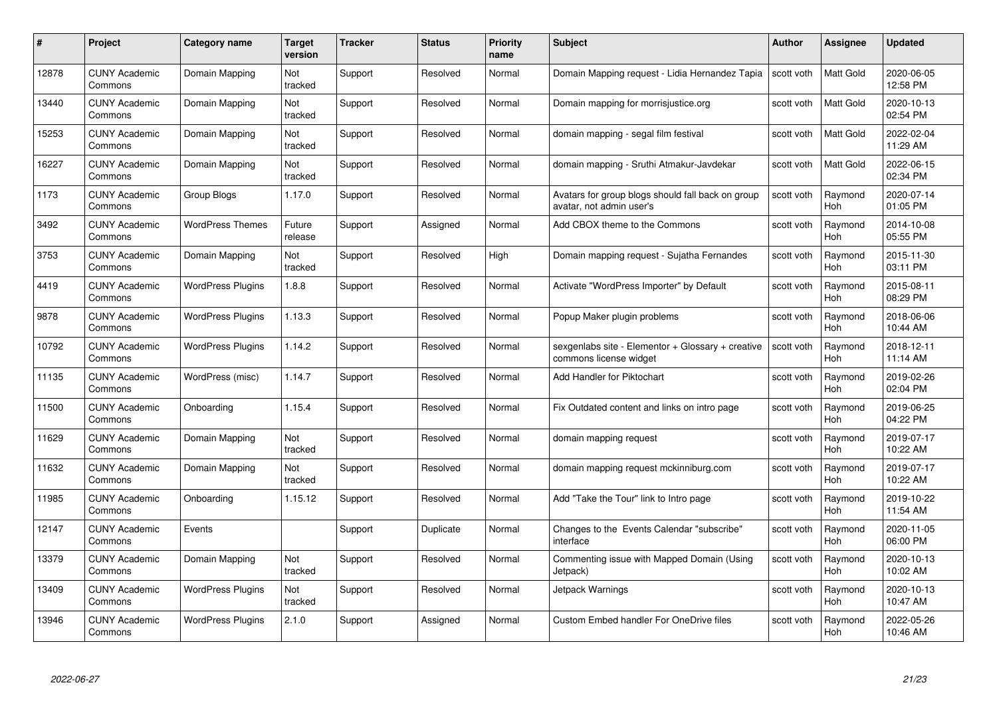| #     | Project                         | Category name            | Target<br>version | <b>Tracker</b> | <b>Status</b> | <b>Priority</b><br>name | <b>Subject</b>                                                                | Author     | <b>Assignee</b>       | <b>Updated</b>         |
|-------|---------------------------------|--------------------------|-------------------|----------------|---------------|-------------------------|-------------------------------------------------------------------------------|------------|-----------------------|------------------------|
| 12878 | <b>CUNY Academic</b><br>Commons | Domain Mapping           | Not<br>tracked    | Support        | Resolved      | Normal                  | Domain Mapping request - Lidia Hernandez Tapia                                | scott voth | <b>Matt Gold</b>      | 2020-06-05<br>12:58 PM |
| 13440 | <b>CUNY Academic</b><br>Commons | Domain Mapping           | Not<br>tracked    | Support        | Resolved      | Normal                  | Domain mapping for morrisjustice.org                                          | scott voth | Matt Gold             | 2020-10-13<br>02:54 PM |
| 15253 | <b>CUNY Academic</b><br>Commons | Domain Mapping           | Not<br>tracked    | Support        | Resolved      | Normal                  | domain mapping - segal film festival                                          | scott voth | Matt Gold             | 2022-02-04<br>11:29 AM |
| 16227 | <b>CUNY Academic</b><br>Commons | Domain Mapping           | Not<br>tracked    | Support        | Resolved      | Normal                  | domain mapping - Sruthi Atmakur-Javdekar                                      | scott voth | Matt Gold             | 2022-06-15<br>02:34 PM |
| 1173  | <b>CUNY Academic</b><br>Commons | Group Blogs              | 1.17.0            | Support        | Resolved      | Normal                  | Avatars for group blogs should fall back on group<br>avatar, not admin user's | scott voth | Raymond<br>Hoh        | 2020-07-14<br>01:05 PM |
| 3492  | <b>CUNY Academic</b><br>Commons | <b>WordPress Themes</b>  | Future<br>release | Support        | Assigned      | Normal                  | Add CBOX theme to the Commons                                                 | scott voth | Raymond<br>Hoh        | 2014-10-08<br>05:55 PM |
| 3753  | <b>CUNY Academic</b><br>Commons | Domain Mapping           | Not<br>tracked    | Support        | Resolved      | High                    | Domain mapping request - Sujatha Fernandes                                    | scott voth | Raymond<br>Hoh        | 2015-11-30<br>03:11 PM |
| 4419  | <b>CUNY Academic</b><br>Commons | <b>WordPress Plugins</b> | 1.8.8             | Support        | Resolved      | Normal                  | Activate "WordPress Importer" by Default                                      | scott voth | Raymond<br><b>Hoh</b> | 2015-08-11<br>08:29 PM |
| 9878  | <b>CUNY Academic</b><br>Commons | <b>WordPress Plugins</b> | 1.13.3            | Support        | Resolved      | Normal                  | Popup Maker plugin problems                                                   | scott voth | Raymond<br>Hoh        | 2018-06-06<br>10:44 AM |
| 10792 | <b>CUNY Academic</b><br>Commons | <b>WordPress Plugins</b> | 1.14.2            | Support        | Resolved      | Normal                  | sexgenlabs site - Elementor + Glossary + creative<br>commons license widget   | scott voth | Raymond<br><b>Hoh</b> | 2018-12-11<br>11:14 AM |
| 11135 | <b>CUNY Academic</b><br>Commons | WordPress (misc)         | 1.14.7            | Support        | Resolved      | Normal                  | Add Handler for Piktochart                                                    | scott voth | Raymond<br><b>Hoh</b> | 2019-02-26<br>02:04 PM |
| 11500 | <b>CUNY Academic</b><br>Commons | Onboarding               | 1.15.4            | Support        | Resolved      | Normal                  | Fix Outdated content and links on intro page                                  | scott voth | Raymond<br><b>Hoh</b> | 2019-06-25<br>04:22 PM |
| 11629 | <b>CUNY Academic</b><br>Commons | Domain Mapping           | Not<br>tracked    | Support        | Resolved      | Normal                  | domain mapping request                                                        | scott voth | Raymond<br>Hoh        | 2019-07-17<br>10:22 AM |
| 11632 | <b>CUNY Academic</b><br>Commons | Domain Mapping           | Not<br>tracked    | Support        | Resolved      | Normal                  | domain mapping request mckinniburg.com                                        | scott voth | Raymond<br><b>Hoh</b> | 2019-07-17<br>10:22 AM |
| 11985 | <b>CUNY Academic</b><br>Commons | Onboarding               | 1.15.12           | Support        | Resolved      | Normal                  | Add "Take the Tour" link to Intro page                                        | scott voth | Raymond<br>Hoh        | 2019-10-22<br>11:54 AM |
| 12147 | <b>CUNY Academic</b><br>Commons | Events                   |                   | Support        | Duplicate     | Normal                  | Changes to the Events Calendar "subscribe"<br>interface                       | scott voth | Raymond<br><b>Hoh</b> | 2020-11-05<br>06:00 PM |
| 13379 | <b>CUNY Academic</b><br>Commons | Domain Mapping           | Not<br>tracked    | Support        | Resolved      | Normal                  | Commenting issue with Mapped Domain (Using<br>Jetpack)                        | scott voth | Raymond<br><b>Hoh</b> | 2020-10-13<br>10:02 AM |
| 13409 | <b>CUNY Academic</b><br>Commons | <b>WordPress Plugins</b> | Not<br>tracked    | Support        | Resolved      | Normal                  | Jetpack Warnings                                                              | scott voth | Raymond<br><b>Hoh</b> | 2020-10-13<br>10:47 AM |
| 13946 | CUNY Academic<br>Commons        | <b>WordPress Plugins</b> | 2.1.0             | Support        | Assigned      | Normal                  | <b>Custom Embed handler For OneDrive files</b>                                | scott voth | Raymond<br>Hoh        | 2022-05-26<br>10:46 AM |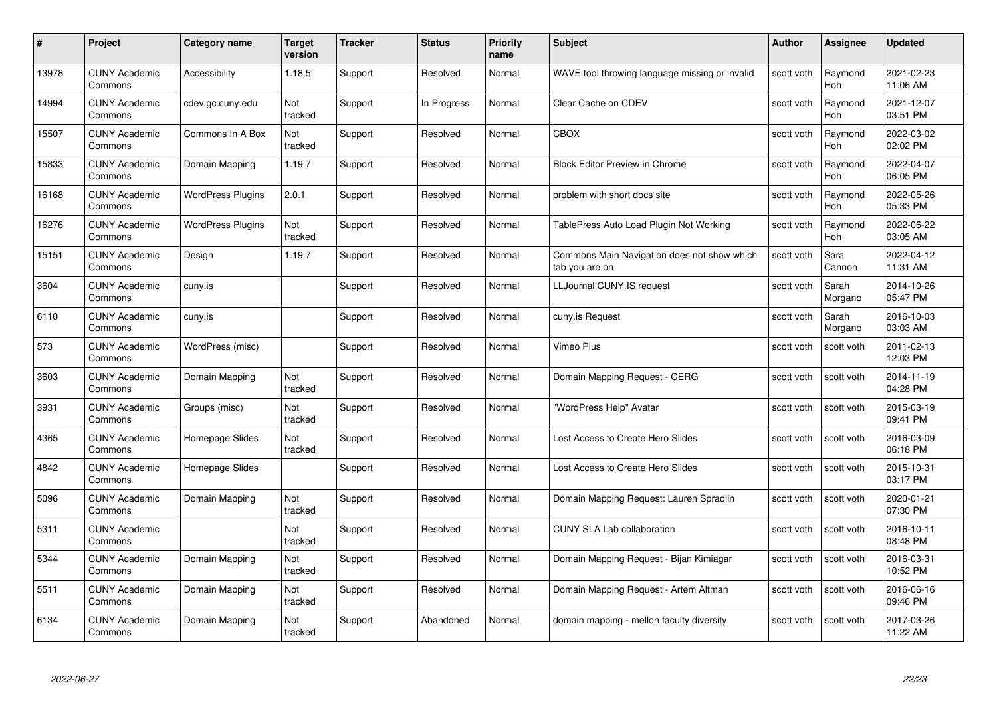| #     | Project                         | Category name            | Target<br>version | <b>Tracker</b> | <b>Status</b> | <b>Priority</b><br>name | <b>Subject</b>                                                | Author     | <b>Assignee</b>       | <b>Updated</b>         |
|-------|---------------------------------|--------------------------|-------------------|----------------|---------------|-------------------------|---------------------------------------------------------------|------------|-----------------------|------------------------|
| 13978 | <b>CUNY Academic</b><br>Commons | Accessibility            | 1.18.5            | Support        | Resolved      | Normal                  | WAVE tool throwing language missing or invalid                | scott voth | Raymond<br><b>Hoh</b> | 2021-02-23<br>11:06 AM |
| 14994 | <b>CUNY Academic</b><br>Commons | cdev.gc.cuny.edu         | Not<br>tracked    | Support        | In Progress   | Normal                  | Clear Cache on CDEV                                           | scott voth | Raymond<br><b>Hoh</b> | 2021-12-07<br>03:51 PM |
| 15507 | <b>CUNY Academic</b><br>Commons | Commons In A Box         | Not<br>tracked    | Support        | Resolved      | Normal                  | <b>CBOX</b>                                                   | scott voth | Raymond<br>Hoh        | 2022-03-02<br>02:02 PM |
| 15833 | <b>CUNY Academic</b><br>Commons | Domain Mapping           | 1.19.7            | Support        | Resolved      | Normal                  | <b>Block Editor Preview in Chrome</b>                         | scott voth | Raymond<br>Hoh        | 2022-04-07<br>06:05 PM |
| 16168 | <b>CUNY Academic</b><br>Commons | <b>WordPress Plugins</b> | 2.0.1             | Support        | Resolved      | Normal                  | problem with short docs site                                  | scott voth | Raymond<br><b>Hoh</b> | 2022-05-26<br>05:33 PM |
| 16276 | <b>CUNY Academic</b><br>Commons | <b>WordPress Plugins</b> | Not<br>tracked    | Support        | Resolved      | Normal                  | TablePress Auto Load Plugin Not Working                       | scott voth | Raymond<br>Hoh        | 2022-06-22<br>03:05 AM |
| 15151 | <b>CUNY Academic</b><br>Commons | Design                   | 1.19.7            | Support        | Resolved      | Normal                  | Commons Main Navigation does not show which<br>tab you are on | scott voth | Sara<br>Cannon        | 2022-04-12<br>11:31 AM |
| 3604  | <b>CUNY Academic</b><br>Commons | cuny.is                  |                   | Support        | Resolved      | Normal                  | LLJournal CUNY.IS request                                     | scott voth | Sarah<br>Morgano      | 2014-10-26<br>05:47 PM |
| 6110  | <b>CUNY Academic</b><br>Commons | cuny.is                  |                   | Support        | Resolved      | Normal                  | cuny.is Request                                               | scott voth | Sarah<br>Morgano      | 2016-10-03<br>03:03 AM |
| 573   | <b>CUNY Academic</b><br>Commons | WordPress (misc)         |                   | Support        | Resolved      | Normal                  | Vimeo Plus                                                    | scott voth | scott voth            | 2011-02-13<br>12:03 PM |
| 3603  | <b>CUNY Academic</b><br>Commons | Domain Mapping           | Not<br>tracked    | Support        | Resolved      | Normal                  | Domain Mapping Request - CERG                                 | scott voth | scott voth            | 2014-11-19<br>04:28 PM |
| 3931  | <b>CUNY Academic</b><br>Commons | Groups (misc)            | Not<br>tracked    | Support        | Resolved      | Normal                  | "WordPress Help" Avatar                                       | scott voth | scott voth            | 2015-03-19<br>09:41 PM |
| 4365  | <b>CUNY Academic</b><br>Commons | Homepage Slides          | Not<br>tracked    | Support        | Resolved      | Normal                  | Lost Access to Create Hero Slides                             | scott voth | scott voth            | 2016-03-09<br>06:18 PM |
| 4842  | <b>CUNY Academic</b><br>Commons | Homepage Slides          |                   | Support        | Resolved      | Normal                  | Lost Access to Create Hero Slides                             | scott voth | scott voth            | 2015-10-31<br>03:17 PM |
| 5096  | <b>CUNY Academic</b><br>Commons | Domain Mapping           | Not<br>tracked    | Support        | Resolved      | Normal                  | Domain Mapping Request: Lauren Spradlin                       | scott voth | scott voth            | 2020-01-21<br>07:30 PM |
| 5311  | <b>CUNY Academic</b><br>Commons |                          | Not<br>tracked    | Support        | Resolved      | Normal                  | <b>CUNY SLA Lab collaboration</b>                             | scott voth | scott voth            | 2016-10-11<br>08:48 PM |
| 5344  | <b>CUNY Academic</b><br>Commons | Domain Mapping           | Not<br>tracked    | Support        | Resolved      | Normal                  | Domain Mapping Request - Bijan Kimiagar                       | scott voth | scott voth            | 2016-03-31<br>10:52 PM |
| 5511  | <b>CUNY Academic</b><br>Commons | Domain Mapping           | Not<br>tracked    | Support        | Resolved      | Normal                  | Domain Mapping Request - Artem Altman                         | scott voth | scott voth            | 2016-06-16<br>09:46 PM |
| 6134  | CUNY Academic<br>Commons        | Domain Mapping           | Not<br>tracked    | Support        | Abandoned     | Normal                  | domain mapping - mellon faculty diversity                     | scott voth | scott voth            | 2017-03-26<br>11:22 AM |